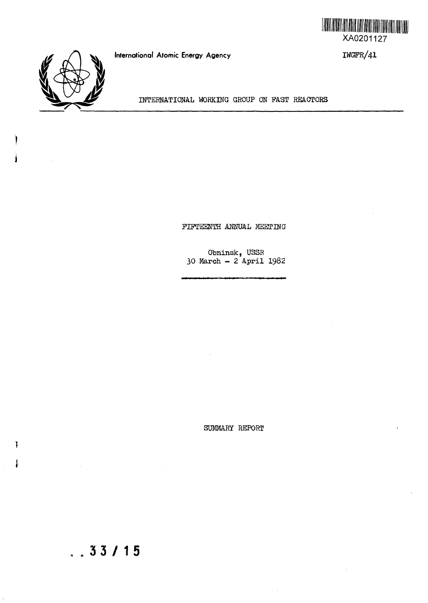

IWGFR/41



INTERNATIONAL WORKING GROUP ON PAST REACTORS

**International Atomic Energy Agency**

FIFTEENTH ANNUAL MEETING

Otminsk, USSR 30 March - 2 April I982

SUMMARY REPORT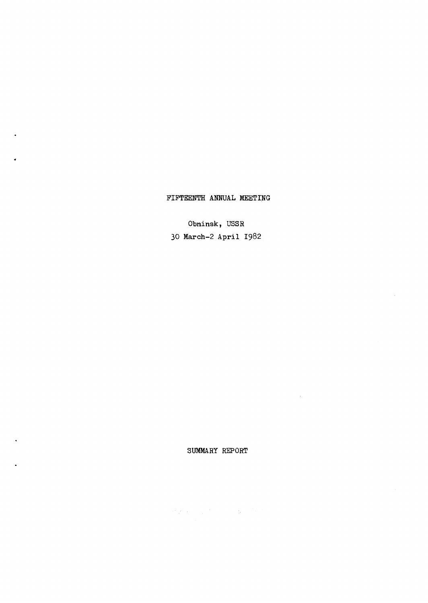SUMMARY REPORT

 $\label{eq:R1} \mathcal{H}^{\alpha}_{R}(x) = \mathcal{H}^{\alpha}_{\alpha}(x) = \mathcal{H}^{\alpha}_{\alpha}(x) = \mathcal{H}^{\alpha}_{\alpha}(x)$ 

 $\sim$ 

30 March-2 April 1982

Obninsk, USSR

FIFTEENTH ANNUAL MEETING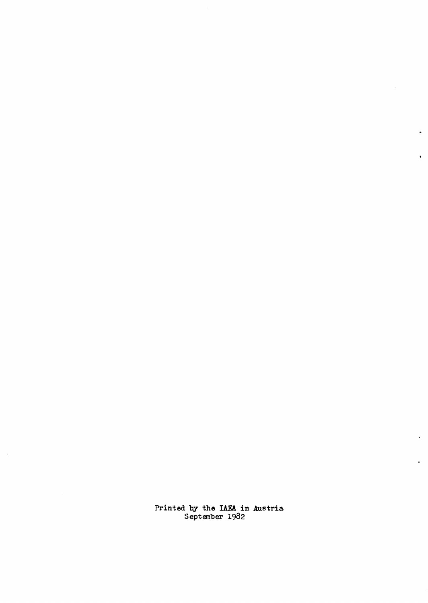Printed by the IAEA in Austria Septem'ber 1982

 $\ddot{\phantom{a}}$ 

 $\mathbf{r}$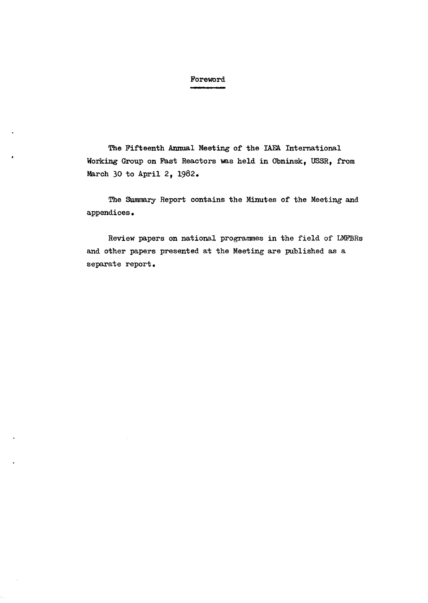## Foreword

The Fifteenth Annual Meeting of the IAEA International Working Group on Fast Reactors was held in Obninsk, USSR, from March 30 to April 2, 1982.

The Summary Report contains the Minutes of the Meeting and appendices.

Review papers on national programmes in the field of LMFBRs and other papers presented at the Meeting are published as a separate report.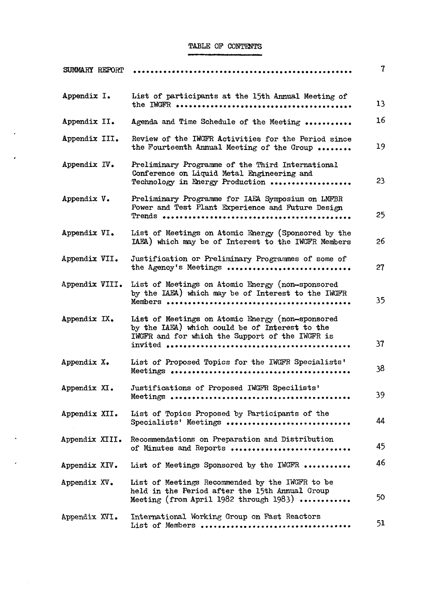## TABLE OP CONTENTS

 $\mathbf{A}^{\prime}$ 

 $\epsilon$ 

 $\hat{\boldsymbol{\epsilon}}$ 

 $\epsilon$ 

 $\sim$ 

| SUMMARY REPORT |                                                                                                                                                       | 7  |
|----------------|-------------------------------------------------------------------------------------------------------------------------------------------------------|----|
| Appendix I.    | List of participants at the 15th Annual Meeting of                                                                                                    | 13 |
| Appendix II.   | Agenda and Time Schedule of the Meeting                                                                                                               | 16 |
| Appendix III.  | Review of the IWGFR Activities for the Period since<br>the Fourteenth Annual Meeting of the Group                                                     | 19 |
| Appendix IV.   | Preliminary Programme of the Third International<br>Conference on Liquid Metal Engineering and<br>Technology in Energy Production                     | 23 |
| Appendix V.    | Preliminary Programme for IAEA Symposium on LMFBR<br>Power and Test Plant Experience and Future Design                                                | 25 |
| Appendix VI.   | List of Meetings on Atomic Energy (Sponsored by the<br>IAEA) which may be of Interest to the IWGFR Members                                            | 26 |
| Appendix VII.  | Justification or Preliminary Programmes of some of<br>the Agency's Meetings                                                                           | 27 |
| Appendix VIII. | List of Meetings on Atomic Energy (non-sponsored<br>by the IAEA) which may be of Interest to the IWGFR                                                | 35 |
| Appendix IX.   | List of Meetings on Atomic Energy (non-sponsored<br>by the IAEA) which could be of Interest to the<br>IWGFR and for which the Support of the IWGFR is | 37 |
| Appendix X.    | List of Proposed Topics for the IWGFR Specialists'                                                                                                    | 38 |
| Appendix XI.   | Justifications of Proposed IWGFR Specilists'                                                                                                          | 39 |
| Appendix XII.  | List of Topics Proposed by Participants of the<br>Specialists' Meetings                                                                               | 44 |
| Appendix XIII. | Recommendations on Preparation and Distribution<br>of Minutes and Reports                                                                             | 45 |
| Appendix XIV.  | List of Meetings Sponsored by the IWGFR                                                                                                               | 46 |
| Appendix XV.   | List of Meetings Recommended by the IWGFR to be<br>held in the Period after the 15th Annual Group<br>Meeting (from April 1982 through 1983)           | 50 |
| Appendix XVI.  | International Working Group on Fast Reactors<br>List of Members                                                                                       | 51 |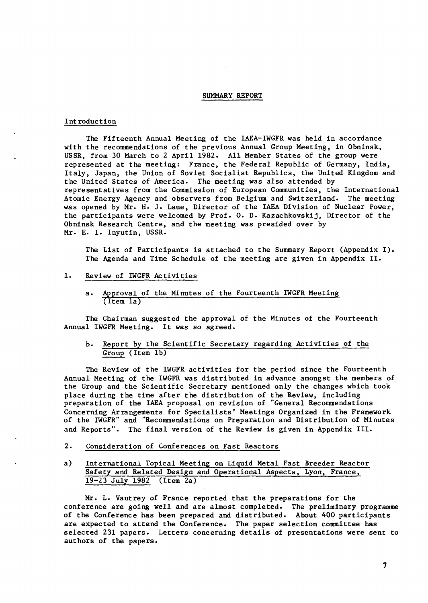#### SUMMARY REPORT

#### Introduction

The Fifteenth Annual Meeting of the IAEA-IWGFR was held in accordance with the recommendations of the previous Annual Group Meeting, in Obninsk, USSR, from 30 March to 2 April 1982. All Member States of the group were represented at the meeting: France, the Federal Republic of Germany, India, Italy, Japan, the Union of Soviet Socialist Republics, the United Kingdom and the United States of America. The meeting was also attended by representatives from the Commission of European Communities, the International Atomic Energy Agency and observers from Belgium and Switzerland. The meeting was opened by Mr. H. J. Laue, Director of the IAEA Division of Nuclear Power, the participants were welcomed by Prof. 0. D. Kazachkovskij, Director of the Obninsk Research Centre, and the meeting was presided over by Mr. E. I. Inyutin, USSR.

The List of Participants is attached to the Summary Report (Appendix I). The Agenda and Time Schedule of the meeting are given in Appendix II.

- 1. Review of IWGFR Activities
	- a. Approval of the Minutes of the Fourteenth IWGFR Meeting (Item la)

The Chairman suggested the approval of the Minutes of the Fourteenth Annual IWGFR Meeting. It was so agreed.

## b. Report by the Scientific Secretary regarding Activities of the Group (Item lb)

The Review of the IWGFR activities for the period since the Fourteenth Annual Meeting of the IWGFR was distributed in advance amongst the members of the Group and the Scientific Secretary mentioned only the changes which took place during the time after the distribution of the Review, including preparation of the IAEA proposal on revision of "General Recommendations Concerning Arrangements for Specialists' Meetings Organized in the Framework of the IWGFR" and "Recommendations on Preparation and Distribution of Minutes and Reports". The final version of the Review is given in Appendix III.

- 2. Consideration of Conferences on Fast Reactors
- a) International Topical Meeting on Liquid Metal Fast Breeder Reactor Safety and Related Design and Operational Aspects, Lyon, France, 19-23 July 1982 (Item 2a)

Mr. L. Vautrey of France reported that the preparations for the conference are going well and are almost completed. The preliminary programme of the Conference has been prepared and distributed. About 400 participants are expected to attend the Conference. The paper selection committee has selected 231 papers. Letters concerning details of presentations were sent to authors of the papers.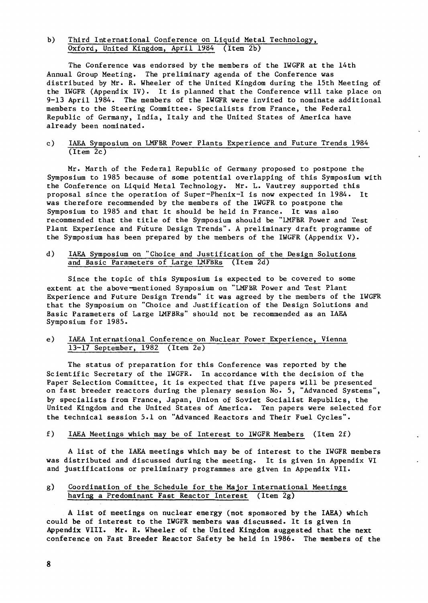## b) Third International Conference on Liquid Metal Technology, Oxford, United Kingdom, April 1984 (Item 2b)

The Conference was endorsed by the members of the IWGFR at the 14th Annual Group Meeting. The preliminary agenda of the Conference was distributed by Mr. R. Wheeler of the United Kingdom during the 15th Meeting of the IWGFR (Appendix IV). It is planned that the Conference will take place on 9-13 April 1984. The members of the IWGFR were invited to nominate additional members to the Steering Committee. Specialists from France, the Federal Republic of Germany, India, Italy and the United States of America have already been nominated.

## c) IAEA Symposium on LMFBR Power Plants Experience and Future Trends 1984 (Item 2c)

Mr. Marth of the Federal Republic of Germany proposed to postpone the Symposium to 1985 because of some potential overlapping of this Symposium with the Conference on Liquid Metal Technology. Mr. L. Vautrey supported this proposal since the operation of Super-Phenix-I is now expected in 1984. It was therefore recommended by the members of the IWGFR to postpone the Symposium to 1985 and that it should be held in France. It was also recommended that the title of the Symposium should be "LMFBR Power and Test Plant Experience and Future Design Trends". A preliminary draft programme of the Symposium has been prepared by the members of the IWGFR (Appendix V).

### d) IAEA Symposium on "Choice and Justification of the Design Solutions and Basic Parameters of Large LMFBRs (Item 2d)

Since the topic of this Symposium is expected to be covered to some extent at the above-mentioned Symposium on "LMFBR Power and Test Plant Experience and Future Design Trends" it was agreed by the members of the IWGFR that the Symposium on "Choice and Justification of the Design Solutions and Basic Parameters of Large LMFBRs" should not be recommended as an IAEA Symposium for 1985.

## e) IAEA International Conference on Nuclear Power Experience, Vienna 13-17 September, 1982 (Item 2e)

The status of preparation for this Conference was reported by the Scientific Secretary of the IWGFR. In accordance with the decision of the Paper Selection Committee, it is expected that five papers will be presented on fast breeder reactors during the plenary session No. 5, "Advanced Systems", by specialists from France, Japan, Union of Soviet Socialist Republics, the United Kingdom and the United States of America. Ten papers were selected for the technical session 5.1 on "Advanced Reactors and Their Fuel Cycles".

#### f) IAEA Meetings which may be of Interest to IWGFR Members (Item 2f)

A list of the IAEA meetings which may be of interest to the IWGFR members was distributed and discussed during the meeting. It is given in Appendix VI and justifications or preliminary programmes are given in Appendix VII.

## g) Coordination of the Schedule for the Major International Meetings having a Predominant Fast Reactor Interest (Item 2g)

A list of meetings on nuclear energy (not sponsored by the IAEA) which could be of interest to the IWGFR members was discussed. It is given in Appendix VIII. Mr. R. Wheeler of the United Kingdom suggested that the next conference on Fast Breeder Reactor Safety be held in 1986. The members of the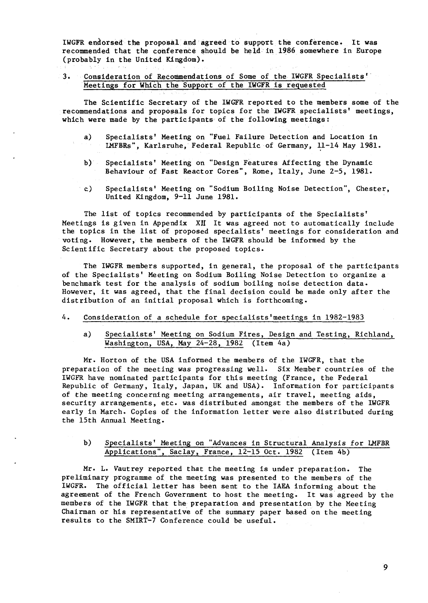IWGFR endorsed the proposal and agreed to support the conference. It was recommended that the conference should be held in 1986 somewhere in Europe (probably in the United Kingdom).

3. Consideration of Recommendations of Some of the IWGFR Specialists' Meetings for Which the Support of the IWGFR is requested

The Scientific Secretary of the IWGFR reported to the members some of the recommendations and proposals for topics for the IWGFR specialists' meetings, which were made by the participants of the following meetings:

- a) Specialists' Meeting on "Fuel Failure Detection and Location in LMFBRs", Karlsruhe, Federal Republic of Germany, 11-14 May 1981.
- b) Specialists' Meeting on "Design Features Affecting the Dynamic Behaviour of Fast Reactor Cores", Rome, Italy, June 2-5, 1981.
- c) Specialists' Meeting on "Sodium Boiling Noise Detection", Chester, United Kingdom, 9-11 June 1981.

The list of topics recommended by participants of the Specialists' Meetings is given in Appendix XII It was agreed not to automatically include the topics in the list of proposed specialists' meetings for consideration and voting. However, the members of the IWGFR should be informed by the Scientific Secretary about the proposed topics.

The IWGFR members supported, in general, the proposal of the participants of the Specialists' Meeting on Sodium Boiling Noise Detection to organize a benchmark test for the analysis of sodium boiling noise detection data. However, it was agreed, that the final decision could be made only after the distribution of an initial proposal which is forthcoming.

#### 4. Consideration of a schedule for specialists'meetings in 1982-1983

a) Specialists' Meeting on Sodium Fires, Design and Testing, Richland, Washington, USA, May 24-28, 1982 (Item 4a)

Mr. Horton of the USA informed the members of the IWGFR, that the preparation of the meeting was progressing well. Six Member countries of the IWGFR have nominated participants for this meeting (France, the Federal Republic of Germany, Italy, Japan, UK and USA). Information for participants of the meeting concerning meeting arrangements, air travel, meeting aids, security arrangements, etc. was distributed amongst the members of the IWGFR early in March. Copies of the information letter were also distributed during the 15th Annual Meeting.

## b) Specialists' Meeting on "Advances in Structural Analysis for LMFBR Applications", Saclay, France, 12-15 Oct. 1982 (Item 4b)

Mr. L. Vautrey reported that the meeting is under preparation. The preliminary programme of the meeting was presented to the members of the IWGFR. The official letter has been sent to the IAEA informing about the agreement of the French Government to host the meeting. It was agreed by the members of the IWGFR that the preparation and presentation by the Meeting Chairman or his representative of the summary paper based on the meeting results to the SMIRT-7 Conference could be useful.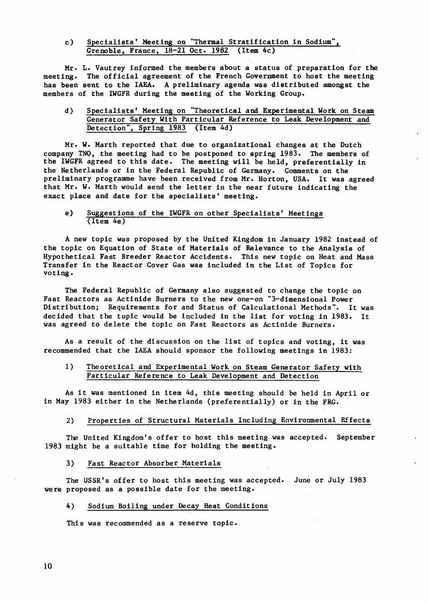c) Specialists' Meeting on "Thermal Stratification in Sodium", Grenoble, France, 18-21 Oct. 1982 (Item 4c)

Mr. L. Vautrey informed the members about a status of preparation for the meeting. The official agreement of the French Government to host the meeting has been sent to the IAEA. A preliminary agenda was distributed amongst the members of the IWGFR during the meeting of the Working Group.

## d) Specialists' Meeting on "Theoretical and Experimental Work on Steam Generator Safety With Particular Reference to Leak Development and Detection", Spring 1983 (Item 4d)

Mr. W. Marth reported that due to organizational changes at the Dutch company TNO, the meeting had to be postponed to spring 1983. The members of the IWGFR agreed to this date. The meeting will be held, preferentially in the Netherlands or in the Federal Republic of Germany. Comments on the preliminary programme have been received from Mr. Horton, USA. It was agreed that Mr. W. Marth would send the letter in the near future indicating the exact place and date for the specialists' meeting.

#### e) Suggestions of the IWGFR on other Specialists' Meetings (Item 4e)

A new topic was proposed by the United Kingdom In January 1982 instead of the topic on Equation of State of Materials of Relevance to the Analysis of Hypothetical Fast Breeder Reactor Accidents. This new topic on Heat and Mass Transfer in the Reactor Cover Gas was included in the List of Topics for voting.

The Federal Republic of Germany also suggested to change the topic on Fast Reactors as Actinide Burners to the new one-on "3-dimensional Power Distribution; Requirements for and Status of Calculational Methods". It was decided that the topic would be included in the list for voting in 1983. It was agreed to delete the topic on Fast Reactors as Actinide Burners.

As a result of the discussion on the list of topics and voting, it was recommended that the IAEA should sponsor the following meetings in 1983:

### 1) Theoretical and Experimental Work on Steam Generator Safety with Particular Reference to Leak Development and Detection

As it was mentioned in item 4d, this meeting should be held in April or in May 1983 either in the Netherlands (preferentially) or in the FRG.

## 2) Properties of Structural Materials Including Environmental Effects

The United Kingdom's offer to host this meeting was accepted. September 1983 might be a suitable time for holding the meeting.

#### 3) Fast Reactor Absorber Materials

The USSR's offer to host this meeting was accepted. June or July 1983 were proposed as a possible date for the meeting.

#### 4) Sodium Boiling under Decay Heat Conditions

This was recommended as a reserve topic.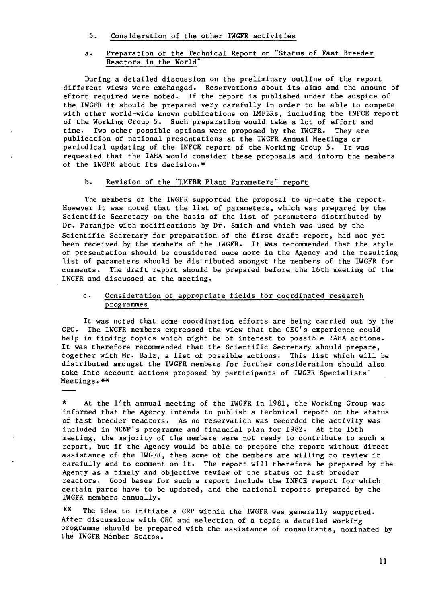5. Consideration of the other IWGFR activities

## a. Preparation of the Technical Report on "Status of Fast Breeder Reactors in the World"

During a detailed discussion on the preliminary outline of the report different views were exchanged. Reservations about its aims and the amount of effort required were noted. If the report is published under the auspice of the IWGFR it should be prepared very carefully in order to be able to compete with other world-wide known publications on IMFBRs, including the INFCE report of the Working Group 5. Such preparation would take a lot of effort and time. Two other possible options were proposed by the IWGFR. They are publication of national presentations at the IWGFR Annual Meetings or periodical updating of the INFCE report of the Working Group 5. It was requested that the IAEA would consider these proposals and inform the members of the IWGFR about its decision.\*

## b. Revision of the "LMFBR Plant Parameters" report

The members of the IWGFR supported the proposal to up-date the report. However it was noted that the list of parameters, which was prepared by the Scientific Secretary on the basis of the list of parameters distributed by Dr. Paranjpe with modifications by Dr. Smith and which was used by the Scientific Secretary for preparation of the first draft report, had not yet been received by the members of the IWGFR. It was recommended that the style of presentation should be considered once more in the Agency and the resulting list of parameters should be distributed amongst the members of the IWGFR for comments. The draft report should be prepared before the 16th meeting of the IWGFR and discussed at the meeting.

### c. Consideration of appropriate fields for coordinated research programmes

It was noted that some coordination efforts are being carried out by the CEC. The IWGFR members expressed the view that the CEC's experience could help in finding topics which might be of interest to possible IAEA actions. It was therefore recommended that the Scientific Secretary should prepare, together with Mr. Balz, a list of possible actions. This list which will be distributed amongst the IWGFR members for further consideration should also take into account actions proposed by participants of IWGFR Specialists' Meetings.\*\*

\* At the 14th annual meeting of the IWGFR in 1981, the Working Group was informed that the Agency intends to publish a technical report on the status of fast breeder reactors. As no reservation was recorded the activity was included in NENP's programme and financial plan for 1982. At the 15th meeting, the majority of the members were not ready to contribute to such a report, but if the Agency would be able to prepare the report without direct assistance of the IWGFR, then some of the members are willing to review it carefully and to comment on it. The report will therefore be prepared by the Agency as a timely and objective review of the status of fast breeder reactors. Good bases for such a report include the INFCE report for which certain parts have to be updated, and the national reports prepared by the IWGFR members annually.

\*\* The idea to initiate a CRP within the IWGFR was generally supported. After discussions with CEC and selection of a topic a detailed working programme should be prepared with the assistance of consultants, nominated by the IWGFR Member States.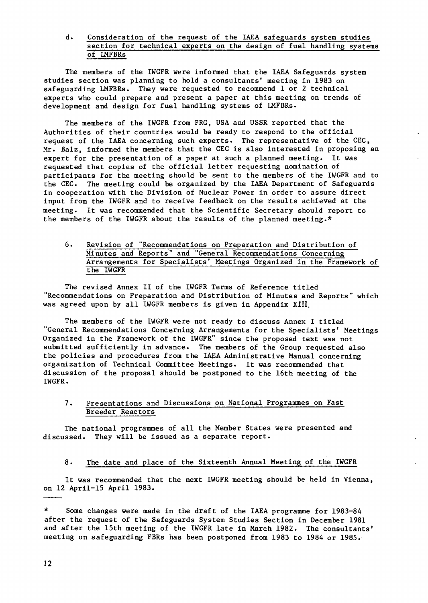## d. Consideration of the request of the IAEA safeguards system studies section for technical experts on the design of fuel handling systems of IMFBRs

The members of the IWGFR were informed that the IAEA Safeguards system studies section was planning to hold a consultants' meeting in 1983 on safeguarding LMFBRs. They were requested to recommend 1 or 2 technical experts who could prepare and present a paper at this meeting on trends of development and design for fuel handling systems of LMFBRs.

The members of the IWGFR from FRG, USA and USSR reported that the Authorities of their countries would be ready to respond to the official request of the IAEA concerning such experts. The representative of the CEC, Mr. Balz, informed the members that the CEC is also interested in proposing an expert for the presentation of a paper at such a planned meeting. It was requested that copies of the official letter requesting nomination of participants for the meeting should be sent to the members of the IWGFR and to the CEC. The meeting could be organized by the IAEA Department of Safeguards in cooperation with the Division of Nuclear Power in order to assure direct input from the IWGFR and to receive feedback on the results achieved at the meeting. It was recommended that the Scientific Secretary should report to the members of the IWGFR about the results of the planned meeting.\*

## 6. Revision of "Recommendations on Preparation and Distribution of Minutes and Reports" and "General Recommendations Concerning Arrangements for Specialists' Meetings Organized in the Framework of the IWGFR

The revised Annex II of the IWGFR Terms of Reference titled "Recommendations on Preparation and Distribution of Minutes and Reports" which was agreed upon by all IWGFR members is given in Appendix XIII.

The members of the IWGFR were not ready to discuss Annex I titled "General Recommendations Concerning Arrangements for the Specialists' Meetings Organized in the Framework of the IWGFR" since the proposed text was not submitted sufficiently in advance. The members of the Group requested also the policies and procedures from the IAEA Administrative Manual concerning organization of Technical Committee Meetings. It was recommended that discussion of the proposal should be postponed to the 16th meeting of the IWGFR.

## 7. Presentations and Discussions on National Programmes on Fast Breeder Reactors

The national programmes of all the Member States were presented and discussed. They will be issued as a separate report.

### 8. The date and place of the Sixteenth Annual Meeting of the IWGFR

It was recommended that the next IWGFR meeting should be held in Vienna, on 12 April-15 April 1983.

\* Some changes were made in the draft of the IAEA programme for 1983-84 after the request of the Safeguards System Studies Section in December 1981 and after the 15th meeting of the IWGFR late in March 1982. The consultants' meeting on safeguarding FBRs has been postponed from 1983 to 1984 or 1985.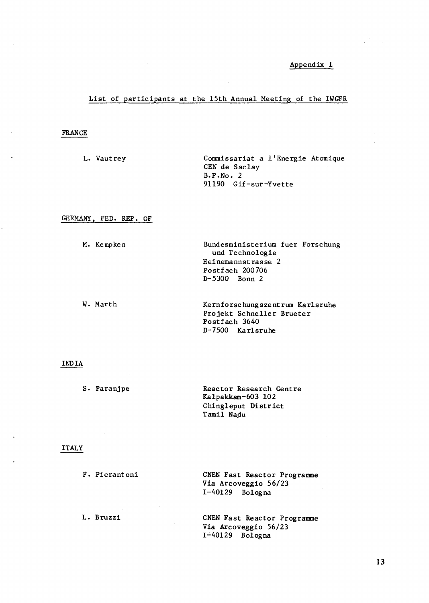## Appendix I

## List of participants at the 15th Annual Meeting of the IWGFR

## FRANCE

L. Vautrey Commissariat a l'Energie Atomique CEN de Saclay B.P.No . 2 91190 Gif-sur-Yvette

## GERMANY, FED. REP. OF

| M. Kempken | Bundesministerium fuer Forschung<br>und Technologie |
|------------|-----------------------------------------------------|
|            | Heinemannstrasse 2                                  |
|            | Postfach 200706                                     |
|            | $D - 5300$ Bonn 2                                   |
| W. Marth   | Kernforschungszentrum Karlsruhe                     |
|            | Projekt Schneller Brueter                           |
|            | Postfach 3640                                       |
|            | D-7500 Karlsruhe                                    |

## INDIA

| S. Paranipe | Reactor Research Centre |
|-------------|-------------------------|
|             | Kalpakkam-603 102       |
|             | Chingleput District     |
|             | Tamil Nadu              |

## ITALY

| F. Pierantoni | CNEN Fast Reactor Programme<br>Vía Arcoveggio 56/23<br>$I-40129$ Bologna |
|---------------|--------------------------------------------------------------------------|
| L. Bruzzi     | CNEN Fast Reactor Programme                                              |

Via Arcoveggio 56/23 1-40129 Bologna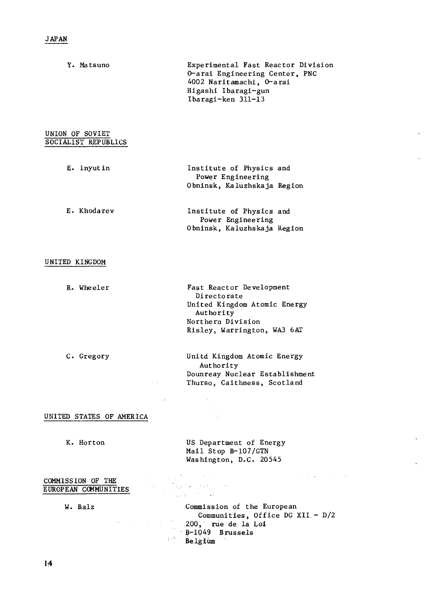Y. Matsuno Experimental Fast Reactor Division O-arai Engineering Center, PNC 4002 Naritamachi, O-arai Higashi Ibaragi-gun Ibaragi-ken 311-13 UNION OF SOVIET SOCIALIST REPUBLICS E. Inyutin Institute of Physics and Power Engineering Obninsk, Kaluzhskaja Region E. Khodarev Institute of Physics and Power Engineering Obninsk, Kaluzhskaja Region

## UNITED KINGDOM

R. Wheeler Fast Reactor Development Directorate United Kingdom Atomic Energy Authority Northern Division Risley, Warrington, WA3 6AT

C. Gregory Unitd Kingdom Atomic Energy Authority Dounreay Nuclear Establishment Thurso, Caithness, Scotland

#### UNITED STATES OF AMERICA

K. Horton US Department of Energy Mail Stop B-107/GTN Washington, D.C. 20545

 $\sim 10^{11}$  ,  $\sim 10^{12}$  ,  $\sim 10^{11}$ 

 $\sim$  $\sim 10$ 

**Contractor** 

 $\label{eq:1} \mathcal{F}_{\rm{max}}(\mathbf{r}) = \mathcal{F}_{\rm{max}}(\mathbf{r}) = \mathcal{F}_{\rm{max}}(\mathbf{r}) = \mathcal{F}_{\rm{max}}(\mathbf{r})$  $\label{eq:3.1} \frac{1}{4} \left( \frac{1}{2} \frac{1}{4} \frac{1}{4} \frac{1}{4} \frac{1}{4} \frac{1}{4} \frac{1}{4} \frac{1}{4} \frac{1}{4} \frac{1}{4} \frac{1}{4} \frac{1}{4} \frac{1}{4} \frac{1}{4} \frac{1}{4} \frac{1}{4} \frac{1}{4} \frac{1}{4} \frac{1}{4} \frac{1}{4} \frac{1}{4} \frac{1}{4} \frac{1}{4} \frac{1}{4} \frac{1}{4} \frac{1}{4} \frac{1}{4} \frac{1}{4} \frac{1}{$ 

### COMMISSION OF THE EUROPEAN COMMUNITIES

 $\mathcal{O}(\sqrt{N})$  , where  $N$ 

W. Balz Commission of the European Communities, Office DG XII - D/2 200, rue de la Loi B-1049 Brussels **Belgium** 

 $\mathcal{O}(\mathcal{O}(1))$  and  $\mathcal{O}(\mathcal{O}(1))$  . The  $\mathcal{O}(\mathcal{O}(1))$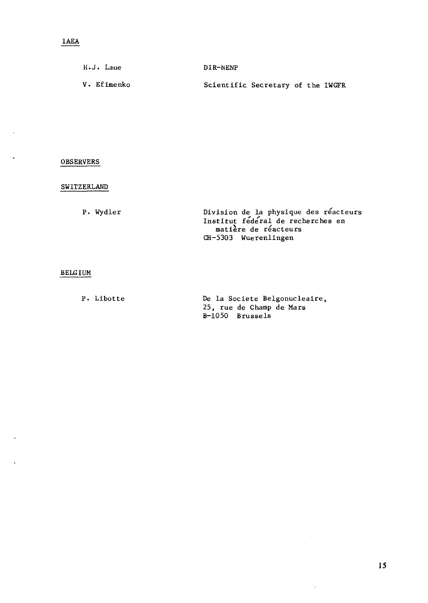| $H \cdot J \cdot \mathcal{L}$ aue | DIR-NENP                          |
|-----------------------------------|-----------------------------------|
| V. Efimenko                       | Scientific Secretary of the IWGFR |

## OBSERVERS

## SWITZERLAND

P. Wydler Division de la physique des reacteurs Institut federal de recherches en matière de réacteurs CH-5303 Wuerenlingen

## BELGIUM

P. Libotte De la Societe Belgonucleaire, 25, rue de Champ de Mars B-1050 Brussels

 $\overline{\phantom{a}}$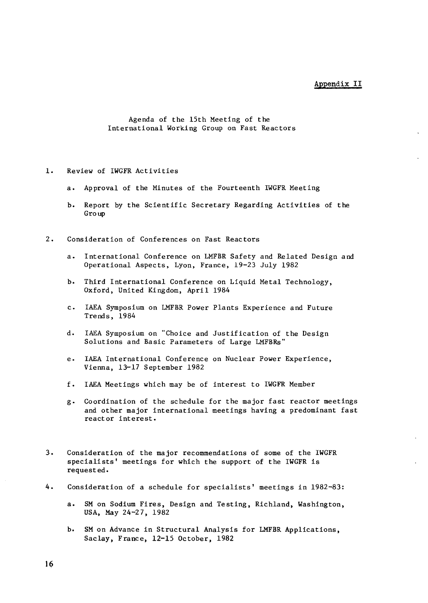### Appendix II

Agenda of the 15th Meeting of the International Working Group on Fast Reactors

- 1. Review of IWGFR Activities
	- a. Approval of the Minutes of the Fourteenth IWGFR Meeting
	- b. Report by the Scientific Secretary Regarding Activities of the Group
- 2. Consideration of Conferences on Fast Reactors
	- a. International Conference on LMFBR Safety and Related Design and Operational Aspects, Lyon, France, 19-23 July 1982
	- b. Third International Conference on Liquid Metal Technology, Oxford, United Kingdom, April 1984
	- c. IAEA Symposium on LMFBR Power Plants Experience and Future Trends, 1984
	- d. IAEA Symposium on "Choice and Justification of the Design Solutions and Basic Parameters of Large LMFBRs"
	- e. IAEA International Conference on Nuclear Power Experience, Vienna, 13-17 September 1982
	- f. IAEA Meetings which may be of interest to IWGFR Member
	- g. Coordination of the schedule for the major fast reactor meetings and other major international meetings having a predominant fast reactor interest.
- 3. Consideration of the major recommendations of some of the IWGFR specialists' meetings for which the support of the IWGFR is requested.
- 4. Consideration of a schedule for specialists' meetings in 1982-83:
	- a. SM on Sodium Fires, Design and Testing, Richland, Washington, USA, May 24-27, 1982
	- b. SM on Advance in Structural Analysis for LMFBR Applications, Saclay, France, 12-15 October, 1982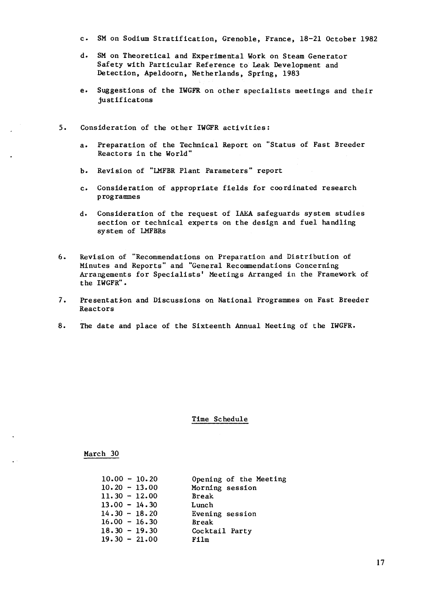- c. SM on Sodium Stratification, Grenoble, France, 18-21 October 1982
- d. SM on Theoretical and Experimental Work on Steam Generator Safety with Particular Reference to Leak Development and Detection, Apeldoorn, Netherlands, Spring, 1983
- e. Suggestions of the IWGFR on other specialists meetings and their justificatons
- 5. Consideration of the other IWGFR activities:
	- a. Preparation of the Technical Report on "Status of Fast Breeder Reactors in the World"
	- b. Revision of "LMFBR Plant Parameters" report
	- c. Consideration of appropriate fields for coordinated research programmes
	- d. Consideration of the request of IAEA safeguards system studies section or technical experts on the design and fuel handling system of LMFBRs
- 6. Revision of "Recommendations on Preparation and Distribution of Minutes and Reports" and "General Recommendations Concerning Arrangements for Specialists' Meetings Arranged in the Framework of the IWGFR".
- 7. Presentation and Discussions on National Programmes on Fast Breeder Reactors
- 8. The date and place of the Sixteenth Annual Meeting of the IWGFR.

#### Time Schedule

#### March 30

| $10.00 - 10.20$ | Opening of the Meeting |
|-----------------|------------------------|
| $10.20 - 13.00$ | Morning session        |
| $11.30 - 12.00$ | <b>Break</b>           |
| $13.00 - 14.30$ | Lunch                  |
| $14.30 - 18.20$ | Evening session        |
| $16.00 - 16.30$ | <b>Break</b>           |
| $18.30 - 19.30$ | Cocktail Party         |
| $19.30 - 21.00$ | Film                   |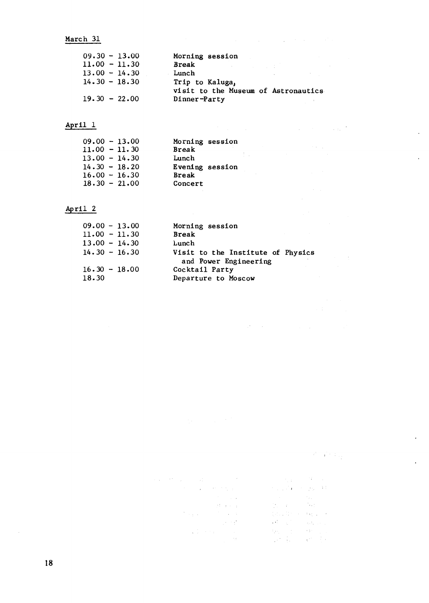## March 31

| $09.30 - 13.00$ | Morning session                                        |
|-----------------|--------------------------------------------------------|
| $11.00 - 11.30$ | Break<br>アンティー・ショップ しょうしょうしょう                          |
| $13.00 - 14.30$ | Lunch                                                  |
| $14.30 - 18.30$ | Trip to Kaluga,<br>visit to the Museum of Astronautics |
| $19.30 - 22.00$ | Dinner-Party                                           |

 $\mathcal{L}^{\mathcal{L}}$  and  $\mathcal{L}^{\mathcal{L}}$  are the set of the set of the set of the  $\mathcal{L}^{\mathcal{L}}$ 

 $\mathcal{O}(10^6)$  and  $\mathcal{O}(10^6)$  . The second constraints of the second constraints of

 $\label{eq:2.1} \frac{1}{\sqrt{2\pi}}\int_{0}^{\infty}\frac{d\mu}{\lambda} \left(\frac{d\mu}{\lambda}\right)^2\frac{d\mu}{\lambda} \,d\mu\,.$ 

 $\label{eq:2.1} \mathcal{L}^{\mathcal{A}}(\mathcal{A})=\mathcal{L}^{\mathcal{A}}(\mathcal{A})=\mathcal{L}^{\mathcal{A}}(\mathcal{A})=\mathcal{L}^{\mathcal{A}}(\mathcal{A})=\mathcal{L}^{\mathcal{A}}(\mathcal{A})=\mathcal{L}^{\mathcal{A}}(\mathcal{A}).$ 

÷,

 $\ddot{\phantom{a}}$ 

 $\ddot{\phantom{a}}$ 

 $\epsilon$ 

## April 1

| $09.00 - 13.00$ | Morning session |
|-----------------|-----------------|
| $11.00 - 11.30$ | <b>Break</b>    |
| $13.00 - 14.30$ | Lunch           |
| $14.30 - 18.20$ | Evening session |
| $16.00 - 16.30$ | <b>Break</b>    |
| $18.30 - 21.00$ | Concert         |
|                 |                 |

## April 2

| $09.00 - 13.00$ | Morning session                                            |
|-----------------|------------------------------------------------------------|
| $11.00 - 11.30$ | <b>Break</b>                                               |
| $13.00 - 14.30$ | Lunch                                                      |
| $14.30 - 16.30$ | Visit to the Institute of Physics<br>and Power Engineering |
| $16.30 - 18.00$ | Cocktail Party                                             |
| 18.30           | Departure to Moscow                                        |

# $\label{eq:3} \mathcal{L}^{(1)}\left(\mathcal{L}^{(1)}\right)\mathcal{L}^{(2)}\left(\mathcal{L}_{\mathcal{M}}\right)$

 $\label{eq:2.1} \begin{split} \mathcal{L}(\mathbf{x}) = \mathcal{L}^2 \left( \mathbf{x} \right) = \mathcal{L}^2 \left( \mathbf{x} \right) \\ \mathcal{L}(\mathbf{x}) = \mathcal{L}^2 \left( \mathbf{x} \right) = \mathcal{L}^2 \left( \mathbf{x} \right) \\ \mathcal{L}(\mathbf{x}) = \mathcal{L}^2 \left( \mathbf{x} \right) = \mathcal{L}^2 \left( \mathbf{x} \right) \\ \mathcal{L}(\mathbf{x}) = \mathcal{L}^2 \left( \mathbf{x} \right) = \mathcal{L}^2 \left( \mathbf{x} \right$  $\label{eq:1} \frac{\gamma_{13}}{\gamma_{12} \sqrt{3} \left(1-\frac{2}{\gamma_{12}}\right)} \frac{q_{12}}{q_{12}} \,,$  $\label{eq:2.1} \frac{1}{2\pi}\frac{1}{\sqrt{2}}\left(\frac{1}{2}\right)^{2}=\frac{1}{2}\frac{2\pi}{6}\left(\frac{1}{2}\right)^{2}.$  $\sim 100$  $\{x_{i+1},1\}^{\mathbb{N}}$  , and  $\{x_{i+1},\ldots,x_{i}\}$ 

 $\sim 10^7$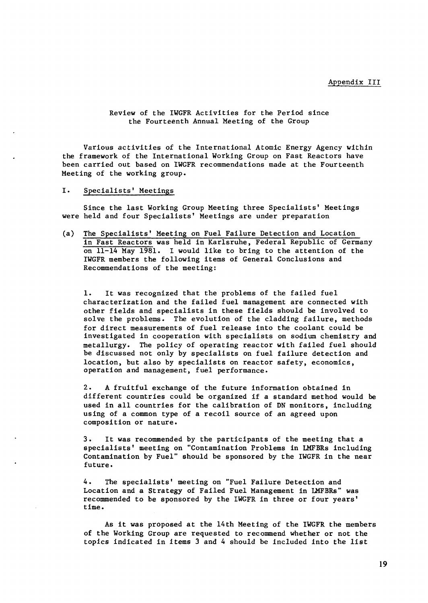Appendix III

Review of the IWGFR Activities for the Period since the Fourteenth Annual Meeting of the Group

Various activities of the International Atomic Energy Agency within the framework of the International Working Group on Fast Reactors have been carried out based on IWGFR recommendations made at the Fourteenth Meeting of the working group.

I. Specialists' Meetings

Since the last Working Group Meeting three Specialists' Meetings were held and four Specialists' Meetings are under preparation

(a) The Specialists' Meeting on Fuel Failure Detection and Location in Fast Reactors was held in Karlsruhe, Federal Republic of Germany on 11-14 May 1981. I would like to bring to the attention of the IWGFR members the following items of General Conclusions and Recommendations of the meeting:

1. It was recognized that the problems of the failed fuel characterization and the failed fuel management are connected with other fields and specialists in these fields should be involved to solve the problems. The evolution of the cladding failure, methods for direct measurements of fuel release into the coolant could be investigated in cooperation with specialists on sodium chemistry and metallurgy. The policy of operating reactor with failed fuel should be discussed not only by specialists on fuel failure detection and location, but also by specialists on reactor safety, economics, operation and management, fuel performance.

2. A fruitful exchange of the future information obtained in different countries could be organized if a standard method would be used in all countries for the calibration of DN monitors, including using of a common type of a recoil source of an agreed upon composition or nature.

3. It was recommended by the participants of the meeting that a specialists' meeting on "Contamination Problems in LMFBRs including Contamination by Fuel" should be sponsored by the IWGFR in the near future.

4. The specialists' meeting on "Fuel Failure Detection and Location and a Strategy of Failed Fuel Management in LMFBRs" was recommended to be sponsored by the IWGFR in three or four years' time.

As it was proposed at the 14th Meeting of the IWGFR the members of the Working Group are requested to recommend whether or not the topics indicated in items 3 and 4 should be included into the list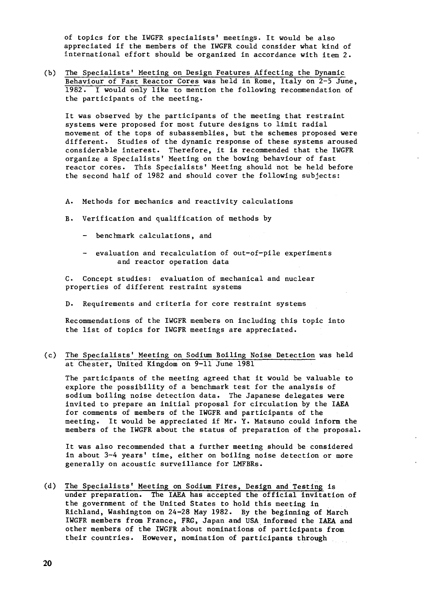of topics for the IWGFR specialists' meetings. It would be also appreciated if the members of the IWGFR could consider what kind of international effort should be organized in accordance with item 2.

(b) The Specialists' Meeting on Design Features Affecting the Dynamic Behaviour of Fast Reactor Cores was held in Rome, Italy on 2-5 June, 1982. I would only like to mention the following recommendation of the participants of the meeting.

It was observed by the participants of the meeting that restraint systems were proposed for most future designs to limit radial movement of the tops of subassemblies, but the schemes proposed were different. Studies of the dynamic response of these systems aroused considerable interest. Therefore, it is recommended that the IWGFR organize a Specialists' Meeting on the bowing behaviour of fast reactor cores. This Specialists' Meeting should hot be held before the second half of 1982 and should cover the following subjects:

- A. Methods for mechanics and reactivity calculations
- B. Verification and qualification of methods by
	- benchmark calculations, and
	- evaluation and recalculation of out-of-pile experiments and reactor operation data

C. Concept studies: evaluation of mechanical and nuclear properties of different restraint systems

D. Requirements and criteria for core restraint systems

Recommendations of the IWGFR members on including this topic into the list of topics for IWGFR meetings are appreciated.

(c) The Specialists' Meeting on Sodium Boiling Noise Detection was held at Chester, United Kingdom on 9-11 June 1981

The participants of the meeting agreed that it would be valuable to explore the possibility of a benchmark test for the analysis of sodium boiling noise detection data. The Japanese delegates were invited to prepare an initial proposal for circulation by the IAEA for comments of members of the IWGFR and participants of the meeting. It would be appreciated if Mr. Y. Matsuno could inform the members of the IWGFR about the status of preparation of the proposal.

It was also recommended that a further meeting should be considered in about 3-4 years' time, either on boiling noise detection or more generally on acoustic surveillance for LMFBRs.

(d) The Specialists' Meeting on Sodium Fires, Design and Testing is under preparation. The IAEA has accepted the official invitation of the government of the United States to hold this meeting in Richland, Washington on 24-28 May 1982. By the beginning of March IWGFR members from France, FRG, Japan and USA informed the IAEA and other members of the IWGFR about nominations of participants from their countries. However, nomination of participants through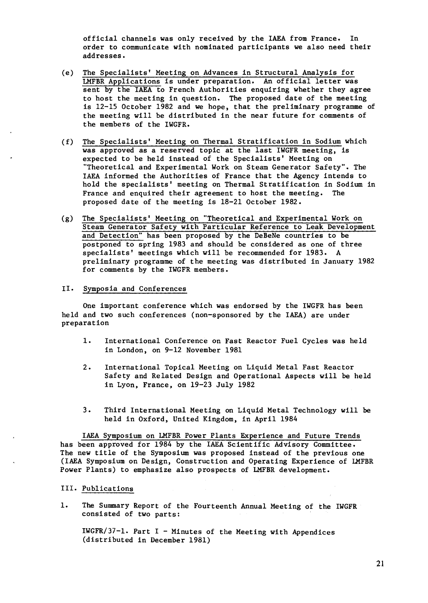official channels was only received by the IAEA from France. In order to communicate with nominated participants we also need their addresses.

- (e) The Specialists' Meeting on Advances in Structural Analysis for LMFBR Applications is under preparation. An official letter was sent by the IAEA to French Authorities enquiring whether they agree to host the meeting in question. The proposed date of the meeting is 12-15 October 1982 and we hope, that the preliminary programme of the meeting will be distributed in the near future for comments of the members of the IWGFR.
- (f) The Specialists' Meeting on Thermal Stratification in Sodium which was approved as a reserved topic at the last IWGFR meeting, is expected to be held instead of the Specialists' Meeting on "Theoretical and Experimental Work on Steam Generator Safety". The IAEA informed the Authorities of France that the Agency intends to hold the specialists' meeting on Thermal Stratification in Sodium in France and enquired their agreement to host the meeting. The proposed date of the meeting is 18-21 October 1982.
- (g) The Specialists' Meeting on "Theoretical and Experimental Work on Steam Generator Safety with Particular Reference to Leak Development and Detection" has been proposed by the DeBeNe countries to be postponed to spring 1983 and should be considered as one of three specialists' meetings which will be recommended for 1983. A preliminary programme of the meeting was distributed in January 1982 for comments by the IWGFR members.

### II. Symposia and Conferences

One important conference which was endorsed by the IWGFR has been held and two such conferences (non-sponsored by the IAEA) are under preparation

- 1. International Conference on Fast Reactor Fuel Cycles was held in London, on 9-12 November 1981
- 2. International Topical Meeting on Liquid Metal Fast Reactor Safety and Related Design and Operational Aspects will be held in Lyon, France, on 19-23 July 1982
- 3. Third International Meeting on Liquid Metal Technology will be held in Oxford, United Kingdom, in April 1984

IAEA Symposium on LMFBR Power Plants Experience and Future Trends has been approved for 1984 by the IAEA Scientific Advisory Committee. The new title of the Symposium was proposed instead of the previous one (IAEA Symposium on Design, Construction and Operating Experience of LMFBR Power Plants) to emphasize also prospects of LMFBR development.

### III. Publications

1. The Summary Report of the Fourteenth Annual Meeting of the IWGFR consisted of two parts:

 $IWGFR/37-1$ . Part I - Minutes of the Meeting with Appendices (distributed in December 1981)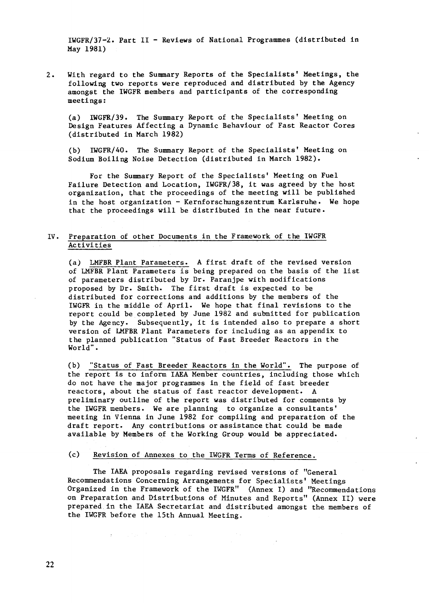IWGFR/37-2. Part II - Reviews of National Programmes (distributed in May 1981)

2. With regard to the Summary Reports of the Specialists' Meetings, the following two reports were reproduced and distributed by the Agency amongst the IWGFR members and participants of the corresponding meetings:

(a) IWGFR/39. The Summary Report of the Specialists' Meeting on Design Features Affecting a Dynamic Behaviour of Fast Reactor Cores (distributed in March 1982)

(b) IWGFR/40. The Summary Report of the Specialists' Meeting on Sodium Boiling Noise Detection (distributed in March 1982).

For the Summary Report of the Specialists' Meeting on Fuel Failure Detection and Location, IWGFR/38, it was agreed by the host organization, that the proceedings of the meeting will be published in the host organization - Kernforschungszentrum Karlsruhe. We hope that the proceedings will be distributed in the near future.

## IV. Preparation of other Documents in the Framework of the IWGFR **Activities**

(a) LMFBR Plant Parameters. A first draft of the revised version of LMFBR Plant Parameters is being prepared on the basis of the list of parameters distributed by Dr. Paranjpe with modifications proposed by Dr. Smith. The first draft is expected to be distributed for corrections and additions by the members of the IWGFR in the middle of April. We hope that final revisions to the report could be completed by June 1982 and submitted for publication by the Agency. Subsequently, it is intended also to prepare a short version of LMFBR Plant Parameters for including as an appendix to the planned publication "Status of Fast Breeder Reactors in the World".

(b) "Status of Fast Breeder Reactors in the World". The purpose of the report is to inform IAEA Member countries, including those which do not have the major programmes in the field of fast breeder reactors, about the status of fast reactor development. A preliminary outline of the report was distributed for comments by the IWGFR members. We are planning to organize a consultants' meeting in Vienna in June 1982 for compiling and preparation of the draft report. Any contributions or assistance that could be made available by Members of the Working Group would be appreciated.

### (c) Revision of Annexes to the IWGFR Terms of Reference.

 $\mathbf{E}^{(1)}$  and  $\mathbf{E}^{(2)}$  and  $\mathbf{E}^{(1)}$  are also as a set of  $\mathbf{E}^{(1)}$ 

The IAEA proposals regarding revised versions of "General Recommendations Concerning Arrangements for Specialists' Meetings Organized in the Framework of the IWGFR" (Annex I) and "Recommendations on Preparation and Distributions of Minutes and Reports" (Annex II) were prepared in the IAEA Secretariat and distributed amongst the members of the IWGFR before the 15th Annual Meeting.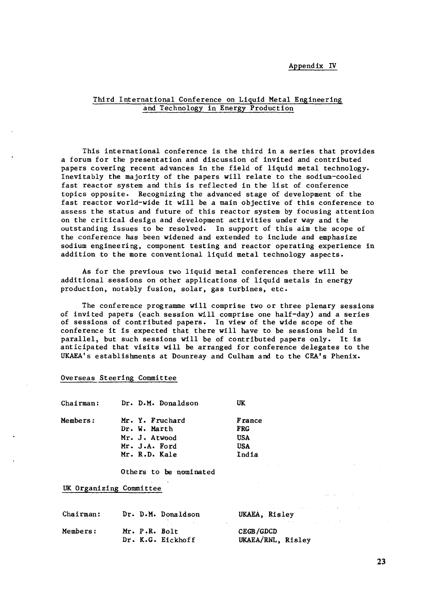### Appendix IV

## Third International Conference on Liquid Metal Engineering and Technology in Energy Production

This international conference is the third in a series that provides a forum for the presentation and discussion of invited and contributed papers covering recent advances in the field of liquid metal technology. Inevitably the majority of the papers will relate to the sodium-cooled fast reactor system and this is reflected in the list of conference topics opposite. Recognizing the advanced stage of development of the fast reactor world-wide it will be a main objective of this conference to assess the status and future of this reactor system by focusing attention on the critical design and development activities under way and the outstanding issues to be resolved. In support of this aim the scope of the conference has been widened and extended to include and emphasize sodium engineering, component testing and reactor operating experience in addition to the more conventional liquid metal technology aspects.

As for the previous two liquid metal conferences there will be additional sessions on other applications of liquid metals in energy production, notably fusion, solar, gas turbines, etc.

The conference programme will comprise two or three plenary sessions of invited papers (each session will comprise one half-day) and a series of sessions of contributed papers. In view of the wide scope of the conference it is expected that there will have to be sessions held in parallel, but such sessions **will** be of contributed papers only. It is anticipated that visits will be arranged for conference delegates to the UKAEA's establishments at Dounreay and Culham and to the CEA's Phenix.

#### Overseas Steering Committee

| <b>Members:</b><br>Mr. Y. Fruchard<br><b>France</b><br><b>FRG</b><br>Dr. W. Marth |  |
|-----------------------------------------------------------------------------------|--|
|                                                                                   |  |
|                                                                                   |  |
| Mr. J. Atwood<br><b>USA</b>                                                       |  |
| Mr. J.A. Ford<br><b>USA</b>                                                       |  |
| Mr. R.D. Kale<br>India                                                            |  |

Others **to be nominated**

#### UK Organizing Committee

| Chairman:       |               | Dr. D.M. Donaldson | UKAEA, Risley                  |
|-----------------|---------------|--------------------|--------------------------------|
| <b>Members:</b> | Mr. P.R. Bolt | Dr. K.G. Eickhoff  | CEGB/GDCD<br>UKAEA/RNL, Risley |

 $\sim 10^{11}$  km  $^{-1}$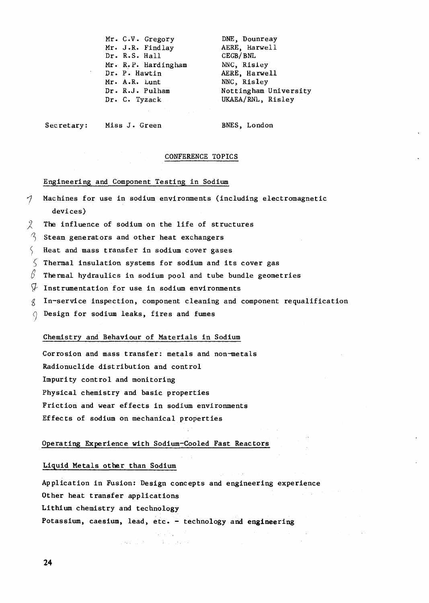Mr. C.V. Gregory DNE, Dounreay<br>Mr. J.R. Findlay AERE, Harwell Mr. J.R. Findlay Dr. R.S. Hall CEGB/BNL<br>Mr. R.P. Hardingham NNC, Risley Mr. R.P. Hardingham NNC, Risley<br>Dr. P. Hawtin AERE, Harwell Dr. P. Hawtin (Dr. P. Hawtin (Dr. A.R. Lunt (Dr. Risley Mr. A.R. Lunt Dr. C. Tyzack UKAEA/RNL, Risiey

Dr. R.J. Pulham Nottingham University

Secretary: Miss J. Green BNES, London

#### CONFERENCE TOPICS

Engineering and Component Testing in Sodium

- $\gamma$  Machines for use in sodium environments (including electromagnetic devices)
- The influence of sodium on the life of structures
- $\%$  Steam generators and other heat exchangers
- $\left\{\right.$  Heat and mass transfer in sodium cover gases
- $\lesssim$  Thermal insulation systems for sodium and its cover gas
- $\beta$  Thermal hydraulics in sodium pool and tube bundle geometries
- $\mathcal{V}$  Instrumentation for use in sodium environments
- $\beta$  In-service inspection, component cleaning and component requalification
- 0 Design for sodium leaks, fires and fumes

## Chemistry and Behaviour of Materials in Sodium

Corrosion and mass transfer: metals and non-metals Radionuclide distribution and control Impurity control and monitoring Physical chemistry and basic properties Friction and wear effects in sodium environments Effects of sodium on mechanical properties

### Operating Experience with Sodium-Cooled Fast Reactors

### Liquid Metals other than Sodium

Application in Fusion: Design concepts and engineering experience Other heat transfer applications Lithium chemistry and technology Potassium, caesium, lead, etc. - technology and engineering

 $\mathcal{O}(\mathcal{O}_\mathcal{A})$  . The  $\mathcal{O}(\mathcal{O}_\mathcal{A})$ 

and the complete state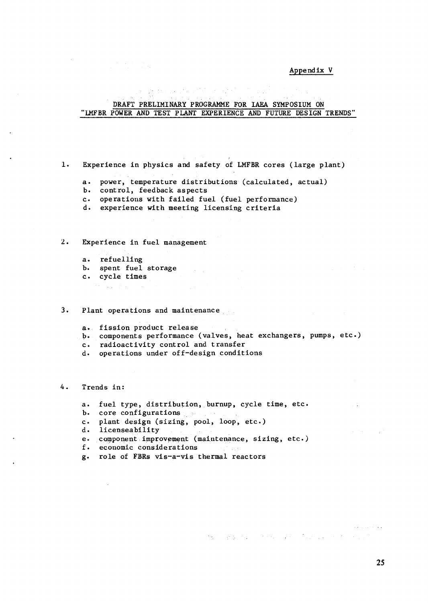#### Appendix V

# DRAFT PRELIMINARY PROGRAMME FOR IAEA SYMPOSIUM ON 'LMFBR POWER AND TEST PLANT EXPERIENCE AND FUTURE DESIGN TRENDS"

1. Experience in physics and safety of LMFBR cores (large plant)

and complete the state of superfi-

- a. power, temperature distributions (calculated, actual)
- b. control, feedback aspects
- c. operations with failed fuel (fuel performance)
- d. experience with meeting licensing criteria

2. Experience in fuel management

 $\label{eq:2.1} \frac{1}{\sqrt{2\pi}}\left(\frac{1}{\sqrt{2\pi}}\right)^{1/2}\frac{1}{\sqrt{2\pi}}\left(\frac{1}{\sqrt{2\pi}}\right)^{1/2}\frac{1}{\sqrt{2\pi}}\left(\frac{1}{\sqrt{2\pi}}\right)^{1/2}\frac{1}{\sqrt{2\pi}}\frac{1}{\sqrt{2\pi}}\frac{1}{\sqrt{2\pi}}\frac{1}{\sqrt{2\pi}}\frac{1}{\sqrt{2\pi}}\frac{1}{\sqrt{2\pi}}\frac{1}{\sqrt{2\pi}}\frac{1}{\sqrt{2\pi}}\frac{1}{\sqrt{2\pi}}\frac{1$ 

- a. refuelling
- b. spent fuel storage
- c. cycle times
- 医心内障 计

#### 3. Plant operations and maintenance

- a. fission product release
- b. components performance (valves, heat exchangers, pumps, etc.)
- c. radioactivity control and transfer
- d. operations under off-design conditions
- 4. Trends in:
	- a. fuel type, distribution, burnup, cycle time, etc.
	- b. core configurations
	- c. plant design (sizing, pool, loop, etc.)
	- d. licenseability
	- e. component improvement (maintenance, sizing, etc.)
	- economic considerations
	- g. role of FBRs vis-a-vis thermal reactors

stal captain problem in construction of the

25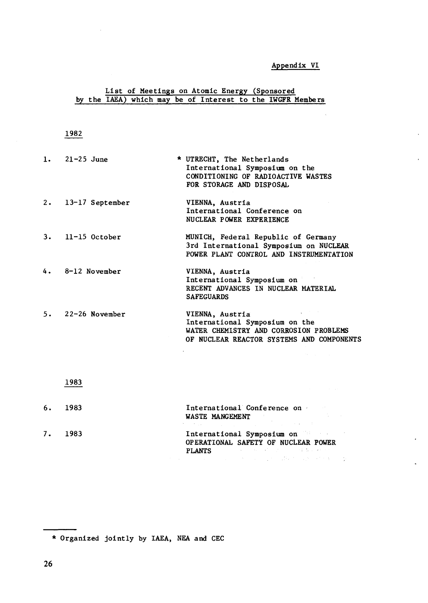## **Appendix VI**

## **List of Meetings on Atomic Energy (Sponsored by the IAEA) which may be of Interest to the IWGFR Members**

## **1982**

| 1. $21-25$ June      | * UTRECHT, The Netherlands<br>International Symposium on the<br>CONDITIONING OF RADIOACTIVE WASTES<br>FOR STORAGE AND DISPOSAL           |
|----------------------|------------------------------------------------------------------------------------------------------------------------------------------|
| $2.$ 13-17 September | VIENNA, Austria<br>International Conference on<br>NUCLEAR POWER EXPERIENCE                                                               |
| $3.$ 11-15 October   | MUNICH, Federal Republic of Germany<br>3rd International Symposium on NUCLEAR<br>POWER PLANT CONTROL AND INSTRUMENTATION                 |
| $4.8-12$ November    | VIENNA, Austria<br>International Symposium on<br>RECENT ADVANCES IN NUCLEAR MATERIAL<br><b>SAFEGUARDS</b>                                |
| $5.22 - 26$ November | VIENNA, Austria<br>International Symposium on the<br>WATER CHEMISTRY AND CORROSION PROBLEMS<br>OF NUCLEAR REACTOR SYSTEMS AND COMPONENTS |

## 1983

| 6. | 1983 | International Conference on<br><b>Contractor</b><br>WASTE MANGEMENT<br>A strategic control of the control of the control of the control of the control of                 |
|----|------|---------------------------------------------------------------------------------------------------------------------------------------------------------------------------|
| 7. | 1983 | International Symposium on<br>OPERATIONAL SAFETY OF NUCLEAR POWER<br><b>PLANTS Example 200 Contract Contract PLANTS</b><br>しかいよう しょうしょう しょうしょう きんしょうしょかい 最後 かいしょう そうかきしょう |

\* Organized jointly by IAEA, NEA and CEC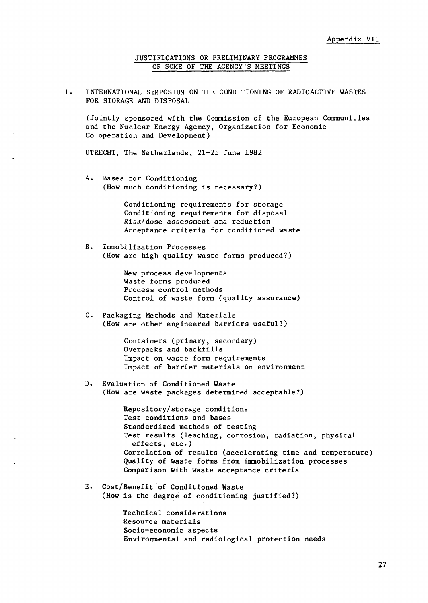JUSTIFICATIONS OR PRELIMINARY PROGRAMMES OF SOME OF THE AGENCY'S MEETINGS

INTERNATIONAL SYMPOSIUM ON THE CONDITIONING OF RADIOACTIVE WASTES  $1.$ FOR STORAGE AND DISPOSAL

(Jointly sponsored with the Commission of the European Communities and the Nuclear Energy Agency, Organization for Economic Co-operation and Development)

UTRECHT, The Netherlands, 21-25 June 1982

A. Bases for Conditioning (How much conditioning is necessary?)

> Conditioning requirements for storage Conditioning requirements for disposal Risk/dose assessment and reduction Acceptance criteria for conditioned waste

B. Immobilization Processes (How are high quality waste forms produced?)

> New process developments Waste forms produced Process control methods Control of waste form (quality assurance)

C. Packaging Methods and Materials (How are other engineered barriers useful?)

> Containers (primary, secondary) Overpacks and backfills Impact on waste form requirements Impact of barrier materials on environment

D. Evaluation of Conditioned Waste (How are waste packages determined acceptable?)

> Repository/storage conditions Test conditions and bases Standardized methods of testing Test results (leaching, corrosion, radiation, physical effects, etc.) Correlation of results (accelerating time and temperature) Quality of waste forms from immobilization processes Comparison with waste acceptance criteria

E. Cost/Benefit of Conditioned Waste (How is the degree of conditioning justified?)

> Technical considerations Resource materials Socio-economic aspects Environmental and radiological protection needs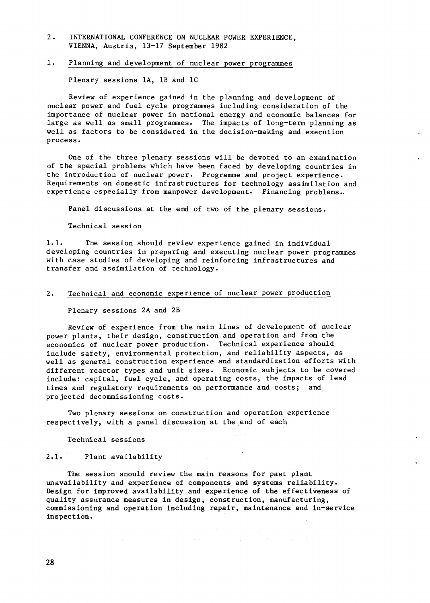2. INTERNATIONAL CONFERENCE ON NUCLEAR POWER EXPERIENCE, VIENNA, Austria, 13-17 September 1982

### 1. Planning and development of nuclear power programmes

Plenary sessions 1A, IB and 1C

Review of experience gained in the planning and development of nuclear power and fuel cycle programmes including consideration of the importance of nuclear power in national energy and economic balances for large as well as small programmes. The impacts of long-term planning as well as factors to be considered in the decision-making and execution process-

One of the three plenary sessions will be devoted to an examination of the special problems which have been faced by developing countries in the introduction of nuclear power. Programme and project experience. Requirements on domestic infrastructures for technology assimilation and experience especially from manpower development. Financing problems..

Panel discussions at the end of two of the plenary sessions.

Technical session

1.1. The session should review experience gained in individual developing countries in preparing and executing nuclear power programmes with case studies of developing and reinforcing infrastructures and transfer and assimilation of technology.

## 2. Technical and economic experience of nuclear power production

Plenary sessions 2A and 2B

Review of experience from the main lines of development of nuclear power plants, their design, construction and operation and from the economics of nuclear power production. Technical experience should include safety, environmental protection, and reliability aspects, as well as general construction experience and standardization efforts with different reactor types and unit sizes. Economic subjects to be covered include: capital, fuel cycle, and operating costs, the impacts of lead times and regulatory requirements on performance and costs; and projected decommissioning costs.

Two plenary sessions on construction and operation experience respectively, with a panel discussion at the end of each

Technical sessions

#### 2.1. Plant availability

The session should review the main reasons for past plant unavailability and experience of components and systems reliability. Design for improved availability and experience of the effectiveness of quality assurance measures in design, construction, manufacturing, commissioning and operation including repair, maintenance and in-service inspection.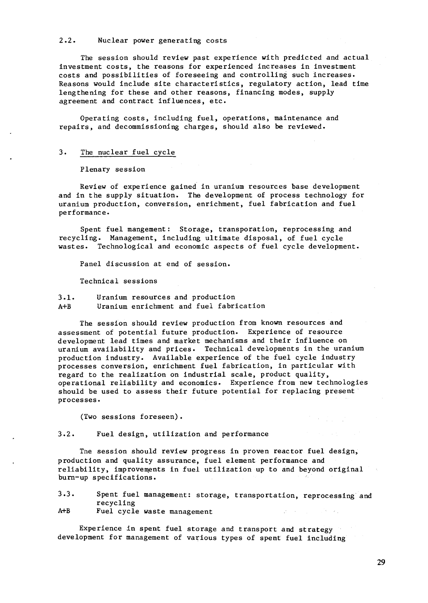#### 2.2. Nuclear power generating costs

The session should review past experience with predicted and actual investment costs, the reasons for experienced increases in investment costs and possibilities of foreseeing and controlling such increases. Reasons would include site characteristics, regulatory action, lead time lengthening for these and other reasons, financing modes, supply agreement and contract influences, etc.

Operating costs, including fuel, operations, maintenance and repairs, and decommissioning charges, should also be reviewed.

#### 3. The nuclear fuel cycle

Plenary session

Review of experience gained in uranium resources base development and in the supply situation. The development of process technology for uranium production, conversion, enrichment, fuel fabrication and fuel performance.

Spent fuel mangement: Storage, transporation, reprocessing and recycling. Management, including ultimate disposal, of fuel cycle wastes. Technological and economic aspects of fuel cycle development.

Panel discussion at end of session.

Technical sessions

### 3.1. Uranium resources and production A+B Uranium enrichment and fuel fabrication

The session should review production from known resources and assessment of potential future production. Experience of resource development lead times and market mechanisms and their influence on uranium availability and prices. Technical developments in the uranium production industry. Available experience of the fuel cycle industry processes conversion, enrichment fuel fabrication, in particular with regard to the realization on industrial scale, product quality, operational reliability and economics. Experience from new technologies should be used to assess their future potential for replacing present processes.

(Two sessions foreseen) .

3.2. Fuel design, utilization and performance

Tne session should review progress in proven reactor fuel design, production and quality assurance, fuel element performance and reliability, improvements in fuel utilization up to and beyond original burn-up specifications.

| 3.3. |           |                             | Spent fuel management: storage, transportation, reprocessing and |  |
|------|-----------|-----------------------------|------------------------------------------------------------------|--|
|      | recycling |                             |                                                                  |  |
| A+B  |           | Fuel cycle waste management |                                                                  |  |

Experience in spent fuel storage and transport and strategy development for management of various types of spent fuel Including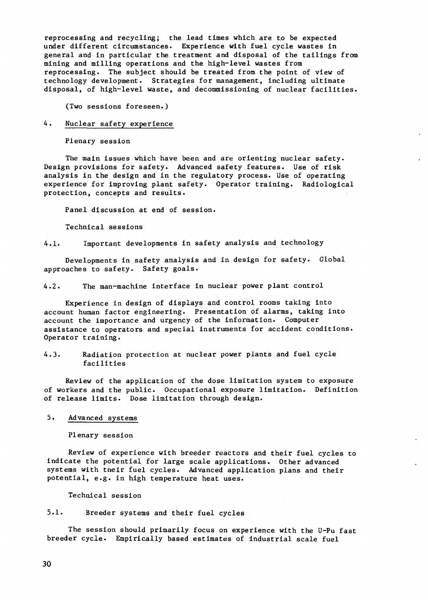reprocessing and recycling; the lead times which are to be expected under different circumstances. Experience with fuel cycle wastes in general and in particular the treatment and disposal of the tailings from mining and milling operations and the high-level wastes from reprocessing. The subject should be treated from the point of view of technology development. Strategies for management, including ultimate disposal, of high-level waste, and decommissioning of nuclear facilities.

(Two sessions foreseen.)

## 4. Nuclear safety experience

Plenary session

The main issues which have been and are orienting nuclear safety. Design provisions for safety. Advanced safety features. Use of risk analysis in the design and in the regulatory process. Use of operating experience for improving plant safety. Operator training. Radiological protection, concepts and results.

Panel discussion at end of session.

Technical sessions

4.1. Important developments in safety analysis and technology

Developments in safety analysis and in design for safety. Global approaches to safety. Safety goals-

4.2. The man-machine interface in nuclear power plant control

Experience in design of displays and control rooms taking into account human factor engineering. Presentation of alarms, taking into account the importance and urgency of the information. Computer assistance to operators and special instruments for accident conditions. Operator training.

4.3. Radiation protection at nuclear power plants and fuel cycle facilities

Review of the application of the dose limitation system to exposure of workers and the public. Occupational exposure limitation. Definition of release limits. Dose limitation through design.

## 5. Advanced systems

Plenary session

Review of experience with breeder reactors and their fuel cycles to indicate the potential for large scale applications. Other advanced systems with their fuel cycles. Advanced application plans and their potential, e.g. in high temperature heat uses.

Technical session

5.1. Breeder systems and their fuel cycles

The session should primarily focus on experience with the U-Pu fast breeder cycle. Empirically based estimates of Industrial scale fuel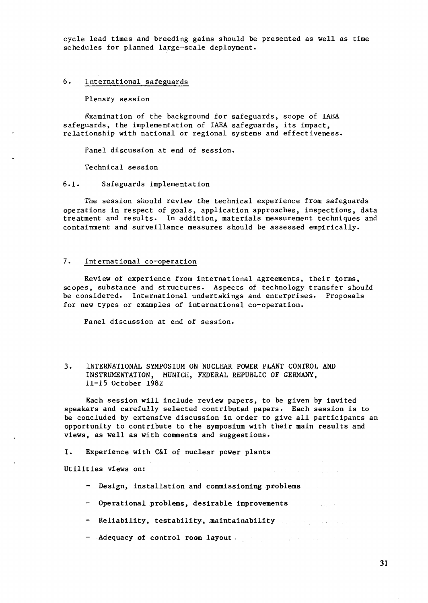cycle lead times and breeding gains should be presented as well as time schedules for planned large-scale deployment.

### 6. International safeguards

Plenary session

Examination of the background for safeguards, scope of IAEA safeguards, the implementation of IAEA safeguards, its impact, relationship with national or regional systems and effectiveness.

Panel discussion at end of session.

Technical session

## 6.1. Safeguards implementation

The session should review the technical experience from safeguards operations in respect of goals, application approaches, inspections, data treatment and results. In addition, materials measurement techniques and containment and surveillance measures should be assessed empirically.

## 7. International co-operation

Review of experience from international agreements, their £orms, scopes, substance and structures. Aspects of technology transfer should be considered. International undertakings and enterprises. Proposals for new types or examples of international co-operation.

Panel discussion at end of session.

3. INTERNATIONAL SYMPOSIUM ON NUCLEAR POWER PLANT CONTROL AND INSTRUMENTATION, MUNICH, FEDERAL REPUBLIC OF GERMANY, 11-15 October 1982

Each session will include review papers, to be given by invited speakers and carefully selected contributed papers. Each session is to be concluded by extensive discussion in order to give all participants an opportunity to contribute to the symposium with their main results and views, as well as with comments and suggestions.

#### I. Experience with C&I of nuclear power plants

Utilities views on:

- Design, installation and commissioning **problems**
- - **Operational problems, desirable improvements**
- Reliability, **testability,** maintainability
- - **Adequacy of control room layout**

**Carl Corporation**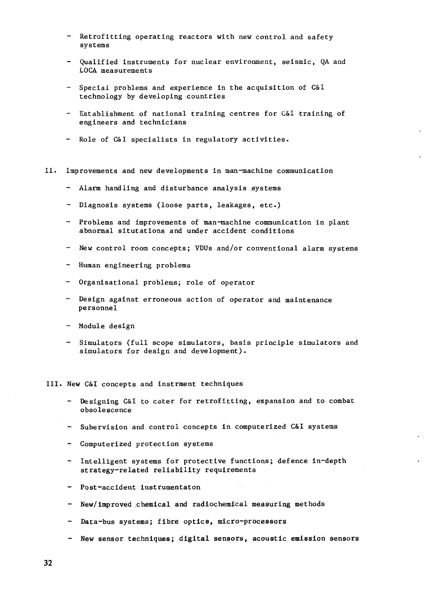- Retrofitting operating reactors with new control and safety systems
- Qualified instruments for nuclear environment, seismic, QA and LOCA measurements
- Special problems and experience in the acquisition of C&I technology by developing countries
- Establishment of national training centres for C&I training of engineers and technicians
- Role of C&I specialists in regulatory activities.
- II. Improvements and new developments in man-machine communication
	- Alarm handling and disturbance analysis systems
	- Diagnosis systems (loose parts, leakages, etc.)
	- Problems and improvements of man-machine communication in plant abnormal situtations and under accident conditions
	- New control room concepts; VDUs and/or conventional alarm systems
	- Human engineering problems
	- Organisational problems; role of operator
	- Design against erroneous action of operator and maintenance personnel
	- Module design
	- Simulators (full scope simulators, basis principle simulators and simulators for design and development).
- III. New C&I concepts and instrment techniques
	- Designing C&I to cater for retrofitting, expansion and to combat obsolescence
	- Subervision and control concepts in computerized C&I systems
	- Computerized protection systems
	- Intelligent systems for protective functions; defence in-depth strategy-related reliability requirements
	- Post-accident **instrumentaton**
	- - **New/improved chemical and radiochemical measuring methods**
	- Data-bus systems; **fibre optics, micro-processors**
	- **New sensor techniques; digital sensors, acoustic emission sensors**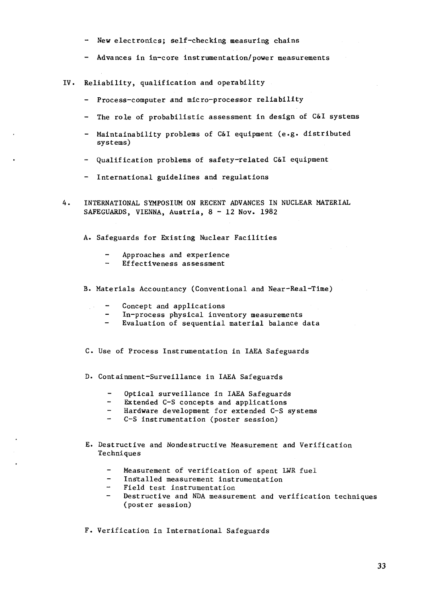- New electronics; self-checking measuring chains
- Advances in in-core instrumentation/power measurements
- IV. Reliability, qualification and operability
	- Process-computer and micro-processor reliability
	- The role of probabilistic assessment in design of C&I systems
	- Maintainability problems of C&I equipment (e.g. distributed systems)
	- Qualification problems of safety-related C&I equipment
	- International guidelines and regulations
- 4. INTERNATIONAL SYMPOSIUM ON RECENT ADVANCES IN NUCLEAR MATERIAL SAFEGUARDS, VIENNA, Austria, 8 - 12 Nov. 1982
	- A. Safeguards for Existing Nuclear Facilities
		- Approaches and experience
		- Effectiveness assessment
	- B. Materials Accountancy (Conventional and Near-Real-Time)
		- Concept and applications  $\mathcal{L}^{(1,1)}$ 
			- In-process physical inventory measurements
			- Evaluation of sequential material balance data
	- C. Use of Process Instrumentation in IAEA Safeguards
	- D. Containment-Surveillance in IAEA Safeguards
		- Optical surveillance in IAEA Safeguards
		- Extended C-S concepts and applications
		- Hardware development for extended C-S systems
		- C-S instrumentation (poster session)
	- E. Destructive and Nondestructive Measurement and Verification Techniques
		- Measurement of verification of spent LWR fuel
		- Installed measurement instrumentation
		- Field test, instrumentation
		- Destructive and NDA measurement and verification techniques (poster session)
	- F. Verification in International Safeguards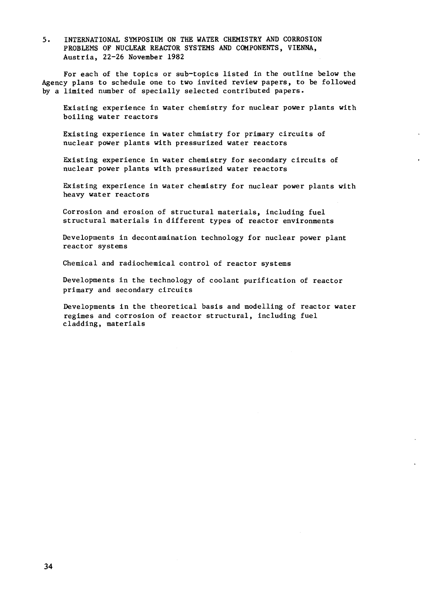5. INTERNATIONAL SYMPOSIUM ON THE WATER CHEMISTRY AND CORROSION PROBLEMS OF NUCLEAR REACTOR SYSTEMS AND COMPONENTS, VIENNA, Austria, 22-26 November 1982

For each of the topics or sub-topics listed in the outline below the Agency plans to schedule one to two invited review papers, to be followed by a limited number of specially selected contributed papers.

Existing experience in water chemistry for nuclear power plants with boiling water reactors

Existing experience in water chmistry for primary circuits of nuclear power plants with pressurized water reactors

Existing experience in water chemistry for secondary circuits of nuclear power plants with pressurized water reactors

Existing experience in water chemistry for nuclear power plants with heavy water reactors

Corrosion and erosion of structural materials, including fuel structural materials in different types of reactor environments

Developments in decontamination technology for nuclear power plant reactor systems

Chemical and radiochemical control of reactor systems

Developments in the technology of coolant purification of reactor primary and secondary circuits

Developments in the theoretical basis and modelling of reactor water regimes and corrosion of reactor structural, including fuel cladding, materials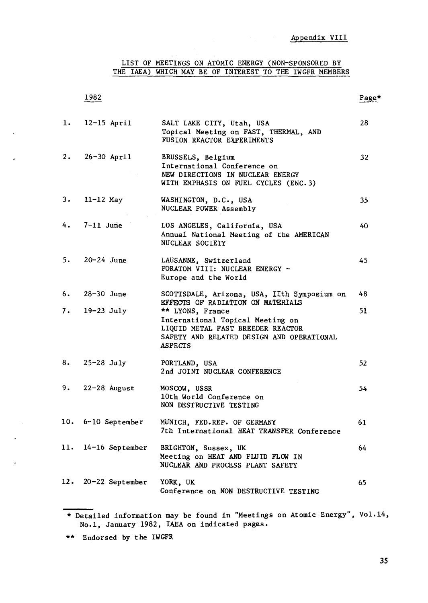LIST OF MEETINGS ON ATOMIC ENERGY (NON-SPONSORED BY THE IAEA) WHICH MAY BE OF INTEREST TO THE IWGFR MEMBERS

## 1982 Page\*

| 1.  | $12-15$ April       | SALT LAKE CITY, Utah, USA<br>Topical Meeting on FAST, THERMAL, AND<br>FUSION REACTOR EXPERIMENTS                                                         | 28              |
|-----|---------------------|----------------------------------------------------------------------------------------------------------------------------------------------------------|-----------------|
| 2.  | $26-30$ April       | BRUSSELS, Belgium<br>International Conference on<br>NEW DIRECTIONS IN NUCLEAR ENERGY<br>WITH EMPHASIS ON FUEL CYCLES (ENC.3)                             | 32 <sub>2</sub> |
| 3.  | $11-12$ May         | WASHINGTON, D.C., USA<br>NUCLEAR POWER Assembly                                                                                                          | 35              |
|     | $4.7 - 11$ June     | LOS ANGELES, California, USA<br>Annual National Meeting of the AMERICAN<br>NUCLEAR SOCIETY                                                               | 40              |
| 5.  | $20 - 24$ June      | LAUSANNE, Switzerland<br>FORATOM VIII: NUCLEAR ENERGY -<br>Europe and the World                                                                          | 45              |
| 6.  | $28-30$ June        | SCOTTSDALE, Arizona, USA, IIth Symposium on<br>EFFECTS OF RADIATION ON MATERIALS                                                                         | 48              |
|     | $7.19-23$ July      | ** LYONS, France<br>International Topical Meeting on<br>LIQUID METAL FAST BREEDER REACTOR<br>SAFETY AND RELATED DESIGN AND OPERATIONAL<br><b>ASPECTS</b> | 51              |
| 8.  | $25-28$ July        | PORTLAND, USA<br>2nd JOINT NUCLEAR CONFERENCE                                                                                                            | 52              |
| 9.  | $22-28$ August      | MOSCOW, USSR<br>10th World Conference on<br>NON DESTRUCTIVE TESTING                                                                                      | 54              |
|     | 10. 6-10 September  | MUNICH, FED.REP. OF GERMANY<br>7th International HEAT TRANSFER Conference                                                                                | 61              |
|     | 11. 14-16 September | BRIGHTON, Sussex, UK<br>Meeting on HEAT AND FLUID FLOW IN<br>NUCLEAR AND PROCESS PLANT SAFETY                                                            | 64              |
| 12. | $20 - 22$ September | YORK, UK<br>Conference on NON DESTRUCTIVE TESTING                                                                                                        | 65              |

 $\ddot{\phantom{0}}$ 

<sup>\*</sup> Detailed information may be found in "Meetings on Atomic Energy", Vol.14, No.l, January 1982, IAEA on indicated pages.

<sup>\*\*</sup> Endorsed by the IWGFR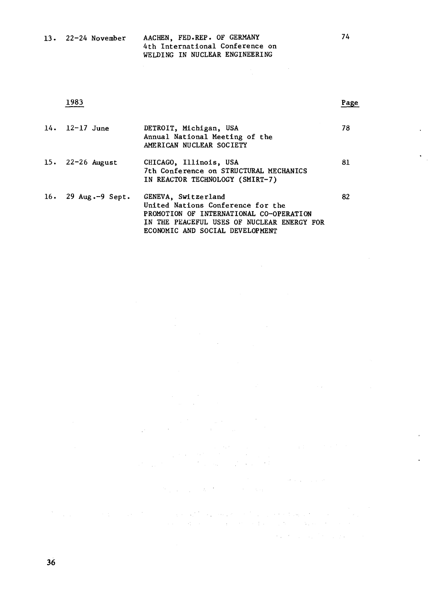| ۰. | v | × |
|----|---|---|
|    |   |   |

 $\sim$ 

 $\sim 10^{-1}$ 

 $\mathcal{L}_{\mathcal{A}}$  and  $\mathcal{L}_{\mathcal{A}}$  are the set of the set of the set of  $\mathcal{A}$ 

 $\label{eq:2} \mathcal{L}_{\mathcal{A}}(\mathcal{A}) = \mathcal{L}_{\mathcal{A}}(\mathcal{A}) = \mathcal{L}_{\mathcal{A}}(\mathcal{A}) = \mathcal{L}_{\mathcal{A}}(\mathcal{A}) = \mathcal{L}_{\mathcal{A}}(\mathcal{A})$ 

 $\ddot{\phantom{1}}$ 

 $\bar{\mathbf{r}}$ 

 $\ddot{\phantom{0}}$ 

| $14. 12 - 17$ June                    | DETROIT, Michigan, USA<br>Annual National Meeting of the<br>AMERICAN NUCLEAR SOCIETY                                                              | 78 |
|---------------------------------------|---------------------------------------------------------------------------------------------------------------------------------------------------|----|
| 15. $22-26$ August                    | CHICAGO, Illinois, USA<br>7th Conference on STRUCTURAL MECHANICS<br>IN REACTOR TECHNOLOGY (SMIRT-7)                                               | 81 |
| 16. $29 \text{ Aug.-}9 \text{ Sept.}$ | GENEVA, Switzerland<br>United Nations Conference for the<br>PROMOTION OF INTERNATIONAL CO-OPERATION<br>IN THE PEACEFUL USES OF NUCLEAR ENERGY FOR | 82 |

 $\label{eq:2.1} \begin{split} \mathcal{A}^{(1)}_{\text{max}}&=\frac{1}{2}\sum_{i=1}^{N}\frac{1}{2}\left(\frac{1}{2}\right)^{2}\left(\frac{1}{2}\right)^{2} \end{split}$ 

 $\mathbb{R}^{2n+1}$ 

 $\label{eq:2.1} \frac{1}{2}\left(\frac{1}{2}\left(\frac{1}{2}\right)^2\right)^{1/2} \leq \frac{1}{2}\left(\frac{1}{2}\left(\frac{1}{2}\right)^2\right)^{1/2} \leq \frac{1}{2}\left(\frac{1}{2}\right)^{1/2} \leq \frac{1}{2}\left(\frac{1}{2}\right)^{1/2} \leq \frac{1}{2}\left(\frac{1}{2}\right)^{1/2} \leq \frac{1}{2}\left(\frac{1}{2}\right)^{1/2} \leq \frac{1}{2}\left(\frac{1}{2}\right)^{1/2} \leq \frac{1}{2}\left(\frac{1$ 

 $\label{eq:2} \begin{split} \mathcal{L}_{\text{eff}}(\mathbf{r},\mathbf{r}) = \mathcal{L}_{\text{eff}}(\mathbf{r},\mathbf{r}) = \mathcal{L}_{\text{eff}}(\mathbf{r},\mathbf{r}) \\ \mathcal{L}_{\text{eff}}(\mathbf{r},\mathbf{r}) = \mathcal{L}_{\text{eff}}(\mathbf{r},\mathbf{r}) = \mathcal{L}_{\text{eff}}(\mathbf{r},\mathbf{r}) \\ \mathcal{L}_{\text{eff}}(\mathbf{r},\mathbf{r},\mathbf{r}) = \mathcal{L}_{\text{eff}}(\mathbf{r},\mathbf{r},\mathbf{r}) = \mathcal{$ 

the property of the state of the control of the state

ECONOMIC AND SOCIAL DEVELOPMENT

 $\Delta \sim 1$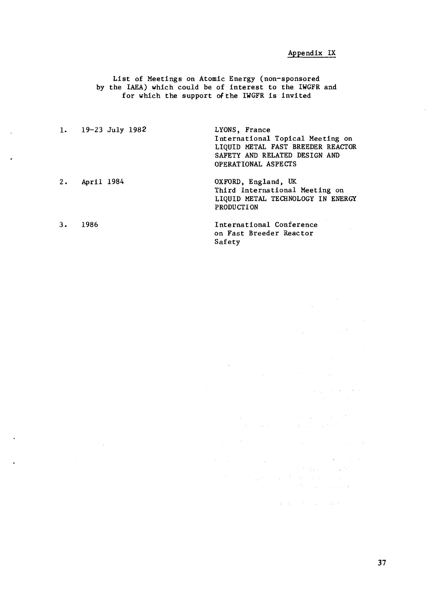## Appendix IX

 $\label{eq:2.1} \frac{1}{\sqrt{2}}\int_{\mathbb{R}^{2}}\left|\frac{d\mathbf{x}}{d\mathbf{x}}\right|^{2}d\mathbf{x}^{2}d\mathbf{x}^{2}d\mathbf{x}^{2}d\mathbf{x}^{2}d\mathbf{x}^{2}d\mathbf{x}^{2}d\mathbf{x}^{2}d\mathbf{x}^{2}d\mathbf{x}^{2}d\mathbf{x}^{2}d\mathbf{x}^{2}d\mathbf{x}^{2}d\mathbf{x}^{2}d\mathbf{x}^{2}d\mathbf{x}^{2}d\mathbf{x}^{2}d\mathbf{x}^{2}d\mathbf{x}^{2}d\math$ 

 $\label{eq:2.1} \begin{split} \frac{d\mathbf{r}}{d\mathbf{r}}&= \frac{d\mathbf{r}}{d\mathbf{r}}\left(\mathbf{r}-\mathbf{r}\right)\\ &= \frac{d\mathbf{r}}{d\mathbf{r}}\left(\mathbf{r}-\mathbf{r}\right)\\ &= \frac{d\mathbf{r}}{d\mathbf{r}}\left(\mathbf{r}-\mathbf{r}\right)\\ &= \frac{d\mathbf{r}}{d\mathbf{r}}\left(\mathbf{r}-\mathbf{r}\right)\\ &= \frac{d\mathbf{r}}{d\mathbf{r}}\left(\mathbf{r}-\mathbf{r}\right)\\ &= \$ 

 $\label{eq:2.1} \begin{split} \mathcal{L}_{\text{max}}(\mathbf{r},\mathbf{r}) = \mathcal{L}_{\text{max}}(\mathbf{r},\mathbf{r}) = \mathcal{L}_{\text{max}}(\mathbf{r},\mathbf{r}) \\ \mathcal{L}_{\text{max}}(\mathbf{r},\mathbf{r}) = \mathcal{L}_{\text{max}}(\mathbf{r},\mathbf{r}) \end{split}$ 

 $\mathcal{L}_{\text{max}}$  , we have the  $\mathcal{L}_{\text{max}}$ 

 $\label{eq:2.1} \mathcal{L}_{\mathcal{A}}(\mathcal{A}) = \mathcal{L}_{\mathcal{A}}(\mathcal{A}) = \mathcal{L}_{\mathcal{A}}(\mathcal{A}) = \mathcal{L}_{\mathcal{A}}(\mathcal{A})$ 

 $\label{eq:2.1} \begin{split} \mathcal{L}_{\mathcal{A}}(\mathcal{A}) & = \mathcal{L}_{\mathcal{A}}(\mathcal{A}) + \mathcal{L}_{\mathcal{A}}(\mathcal{A}) + \mathcal{L}_{\mathcal{A}}(\mathcal{A}) + \mathcal{L}_{\mathcal{A}}(\mathcal{A}) + \mathcal{L}_{\mathcal{A}}(\mathcal{A}) + \mathcal{L}_{\mathcal{A}}(\mathcal{A}) \\ & = \mathcal{L}_{\mathcal{A}}(\mathcal{A}) + \mathcal{L}_{\mathcal{A}}(\mathcal{A}) + \mathcal{L}_{\mathcal{A}}(\mathcal{A}) + \mathcal{L}_{\mathcal{A}}(\$ 

 $\mathcal{A}^{\mathcal{A}}$  and  $\mathcal{A}^{\mathcal{A}}$  are the set of the set of the set of the set of the set of  $\mathcal{A}$ 

 $\mathcal{L}^{\mathcal{L}}$  and  $\mathcal{L}^{\mathcal{L}}$  are the set of the set of the set of  $\mathcal{L}^{\mathcal{L}}$ 

List of Meetings on Atomic Energy (non-sponsored by the IAEA) which could be of interest to the IWGFR and for which the support of the IWGFR is invited

1. 19-23 July 1982 LYONS, France International Topical Meeting on LIQUID METAL FAST BREEDER REACTOR SAFETY AND RELATED DESIGN AND OPERATIONAL ASPECTS 2. April 1984 OXFORD, England, UK Third International Meeting on LIQUID METAL TECHNOLOGY IN ENERGY PRODUCTION 3. 1986 International Conference on Fast Breeder Reactor

Safety

37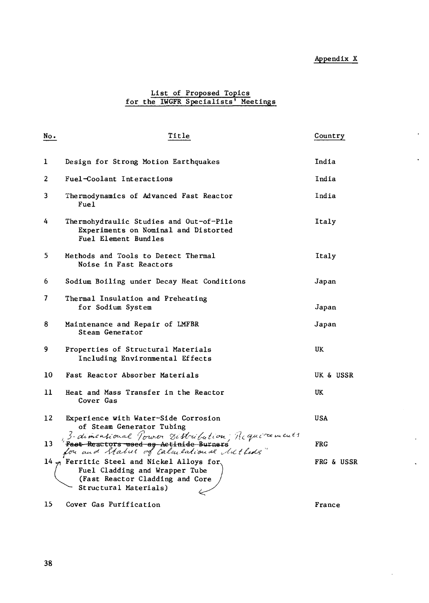# Appendix X

 $\ddot{\phantom{a}}$ 

 $\bullet$ 

 $\bar{\mathbf{r}}$ 

 $\ddot{\phantom{0}}$ 

 $\ddot{\phantom{0}}$ 

## List of Proposed Topics for the IWGFR Specialists' Meetings

| No.          | Title                                                                                                                                         | Country               |
|--------------|-----------------------------------------------------------------------------------------------------------------------------------------------|-----------------------|
| $\mathbf{1}$ | Design for Strong Motion Earthquakes                                                                                                          | India                 |
| 2            | Fuel-Coolant Interactions                                                                                                                     | India                 |
| 3            | Thermodynamics of Advanced Fast Reactor<br>Fuel                                                                                               | India                 |
| 4            | Thermohydraulic Studies and Out-of-Pile<br>Experiments on Nominal and Distorted<br>Fuel Element Bundles                                       | Italy                 |
| 5.           | Methods and Tools to Detect Thermal<br>Noise in Fast Reactors                                                                                 | Italy                 |
| 6            | Sodium Boiling under Decay Heat Conditions                                                                                                    | Japan                 |
| 7            | Thermal Insulation and Preheating<br>for Sodium System                                                                                        | Japan                 |
| 8            | Maintenance and Repair of LMFBR<br>Steam Generator                                                                                            | Japan                 |
| 9            | Properties of Structural Materials<br>Including Environmental Effects                                                                         | UK                    |
| 10           | Fast Reactor Absorber Materials                                                                                                               | UK & USSR             |
| 11           | Heat and Mass Transfer in the Reactor<br>Cover Gas                                                                                            | UK                    |
| 12           | Experience with Water-Side Corrosion<br>of Steam Generator Tubing                                                                             | <b>USA</b>            |
| 13           | 3-dimensional Tower Distribution; Requirements<br>Fast Reactors used as Actinide Burners<br>for and Status of Calculational Mithods"          | <b>FRG</b>            |
|              | 14 $\eta$ Ferritic Steel and Nickel Alloys for.<br>Fuel Cladding and Wrapper Tube<br>(Fast Reactor Cladding and Core<br>Structural Materials) | <b>FRG &amp; USSR</b> |
| 15           | Cover Gas Purification                                                                                                                        | France                |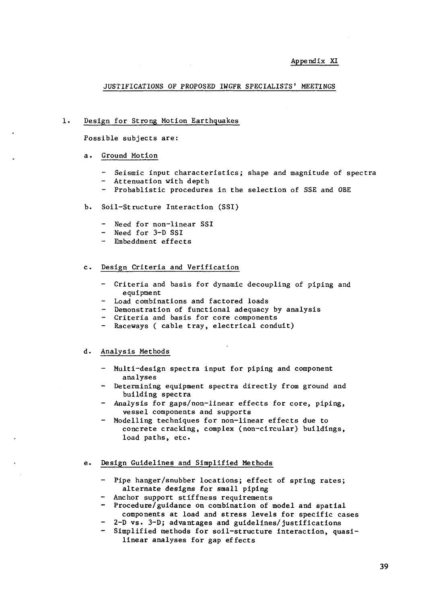## JUSTIFICATIONS OF PROPOSED IWGFR SPECIALISTS' MEETINGS

#### $1.$ Design for Strong Motion Earthquakes

Possible subjects are:

#### a. Ground Motion

- Seismic input characteristics; shape and magnitude of spectra
- Attenuation with depth
- Probablistic procedures in the selection of SSE and OBE
- b. Soil-Structure Interaction (SSI)
	- Need for non-linear SSI
	- Need for 3-D SSI
	- Embeddment effects

#### c. Design Criteria and Verification

- Criteria and basis for dynamic decoupling of piping and equipment
- Load combinations and factored loads
- Demonstration of functional adequacy by analysis
- Criteria and basis for core components
- Raceways ( cable tray, electrical conduit)

#### d. Analysis Methods

- Multi-design spectra input for piping and component analyses
- Determining equipment spectra directly from ground and building spectra
- Analysis for gaps/non-linear effects for core, piping, vessel components and supports
- Modelling techniques for non-linear effects due to concrete cracking, complex (non-circular) buildings, load paths, etc.

#### e. Design Guidelines and Simplified Methods

- Pipe hanger/snubber locations; effect of spring rates; alternate designs for small piping
- Anchor support stiffness requirements
- Procedure/guidance on combination of model and spatial components at load and stress levels for specific cases
- 2-D vs. 3-D; advantages and guidelines/justifications
- Simplified methods for soil-structure interaction, quasilinear analyses for gap effects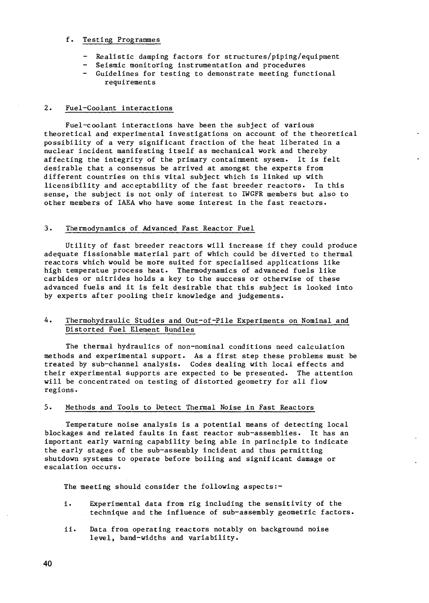#### f. Testing Programmes

- Realistic damping factors for structures/piping/equipment
- Seismic monitoring instrumentation and procedures
- Guidelines for testing to demonstrate meeting functional requirements

## 2. Fuel-Coolant interactions

Fuel-coolant interactions have been the subject of various theoretical and experimental investigations on account of the theoretical possibility of a very significant fraction of the heat liberated in a nuclear incident manifesting itself as mechanical work and thereby affecting the integrity of the primary containment sysem. It is felt desirable that a consensus be arrived at amongst the experts from different countries on this vital subject which is linked up with licensibility and acceptability of the fast breeder reactors. In this sense, the subject is not only of interest to IWGFR members but also to other members of IAEA who have some interest in the fast reactors.

### 3. Thermodynamics of Advanced Fast Reactor Fuel

Utility of fast breeder reactors will increase if they could produce adequate fissionable material part of which could be diverted to thermal reactors which would be more suited for specialised applications like high temperatue process heat. Thermodynamics of advanced fuels like carbides or nitrides holds a key to the success or otherwise of these advanced fuels and it is felt desirable that this subject is looked into by experts after pooling their knowledge and judgements.

## 4. Thermohydraulic Studies and Out-of-Pile Experiments on Nominal and Distorted Fuel Element Bundles

The thermal hydraulics of non-nominal conditions need calculation methods and experimental support. As a first step these problems must be treated by sub-channel analysis. Codes dealing with local effects and their experimental supports are expected to be presented. The attention will be concentrated on testing of distorted geometry for all flow regions.

## 5. Methods and Tools to Detect Thermal Noise in Fast Reactors

Temperature noise analysis is a potential means of detecting local blockages and related faults in fast reactor sub-assemblies. It has an important early warning capability being able in parinciple to indicate the early stages of the sub-assembly incident and thus permitting shutdown systems to operate before boiling and significant damage or escalation occurs.

The meeting should consider the following aspects:-

- i. Experimental data from rig including the sensitivity of the technique and the influence of sub-assembly geometric factors.
- ii. Data from operating reactors notably on background noise level, band-widths and variability.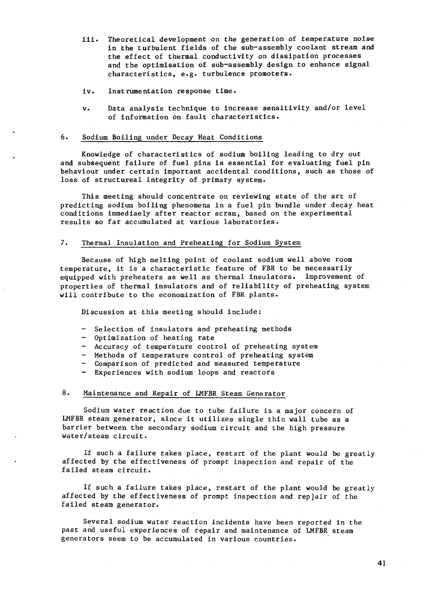- iii. Theoretical development on the generation of temperature noise in the turbulent fields of the sub-assembly coolant stream and the effect of thermal conductivity on dissipation processes and the optimisation of sub-assembly design to enhance signal characteristics, e.g. turbulence promoters.
- iv. Instrumentation response time.
- v. Data analysis technique to increase sensitivity and/or level of information on fault characteristics.

### 6. Sodium Boiling under Decay Heat Conditions

Knowledge of characteristics of sodium boiling leading to dry out and subsequent failure of fuel pins is essential for evaluating fuel pin behaviour under certain important accidental conditions, such as those of loss of structureal integrity of primary system.

This meeting should concentrate on reviewing state of the art of predicting sodium boiling phenomena in a fuel pin bundle under decay heat conditions immediaely after reactor scram, based on the experimental results so far accumulated at various laboratories.

### 7. Thermal Insulation and Preheating for Sodium System

Because of high melting point of coolant sodium well above room temperature, it is a characteristic feature of FBR to be necessarily equipped with preheaters as well as thermal insulators. Improvement of properties of thermal insulators and of reliability of preheating system will contribute to the economization of FBR plants.

Discussion at this meeting should include:

- Selection of insulators and preheating methods
- Optimization of heating rate
- Accuracy of temperature control of preheating system
- Methods of temperature control of preheating system
- Comparison of predicted and measured temperature
- Experiences with sodium loops and reactors

### 8. Maintenance and Repair of LMFBR Steam Generator

Sodium water reaction due to tube failure is a major concern of LMFBR steam generator, since it utilizes single thin wall tube as a barrier between the secondary sodium circuit and the high pressure water/steam circuit.

If such a failure takes place, restart of the plant would be greatly affected by the effectiveness of prompt inspection and repair of the failed steam circuit.

If such a failure takes place, restart of the plant would be greatly affected by the effectiveness of prompt inspection and repjair of the failed steam generator.

Several sodium water reaction incidents have been reported in the past and useful experiences of repair and maintenance of LMFBR steam generators seem to be accumulated in various countries.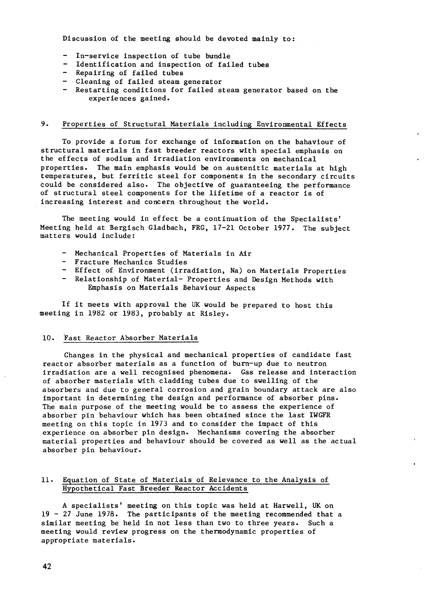Discussion of the meeting should be devoted mainly to:

- In-service inspection of tube bundle
- Identification and inspection of failed tubes
- Repairing of failed tubes
- Cleaning of failed steam generator
- Restarting conditions for failed steam generator based on the experiences gained.

## 9. Properties of Structural Materials including Environmental Effects

To provide a forum for exchange of information on the bahaviour of structural materials in fast breeder reactors with special emphasis on the effects of sodium and irradiation environments on mechanical properties. The main emphasis would be on austenitic materials at high temperatures, but ferritic steel for components in the secondary circuits could be considered also. The objective of guaranteeing the performance of structural steel components for the lifetime of a reactor is of increasing interest and concern throughout the world.

The meeting would in effect be a continuation of the Specialists' Meeting held at Bergisch Gladbach, FRG, 17-21 October 1977. The subject matters would include:

- Mechanical Properties of Materials in Air
- Fracture Mechanics Studies
- Effect of Environment (irradiation, Na) on Materials Properties
- Relationship of Material- Properties and Design Methods with Emphasis on Materials Behaviour Aspects

If it meets with approval the UK would be prepared to host this meeting in 1982 or 1983, probably at Risley.

#### 10. Fast Reactor Absorber Materials

Changes in the physical and mechanical properties of candidate fast reactor absorber materials as a function of burn-up due to neutron irradiation are a well recognised phenomena. Gas release and interaction of absorber materials with cladding tubes due to swelling of the absorbers and due to general corrosion and grain boundary attack are also important in determining the design and performance of absorber pins. The main purpose of the meeting would be to assess the experience of absorber pin behaviour which has been obtained since the last IWGFR meeting on this topic in 1973 and to consider the impact of this experience on absorber pin design. Mechanisms covering the absorber material properties and behaviour should be covered as well as the actual absorber pin behaviour.

## 11. Equation of State of Materials of Relevance to the Analysis of Hypothetical Fast Breeder Reactor Accidents

A specialists' meeting on this topic was held at Harwell, UK on 19 - 27 June 1978. The participants of the meeting recommended that a similar meeting be held in not less than two to three years. Such a meeting would review progress on the thermodynamic properties of appropriate materials.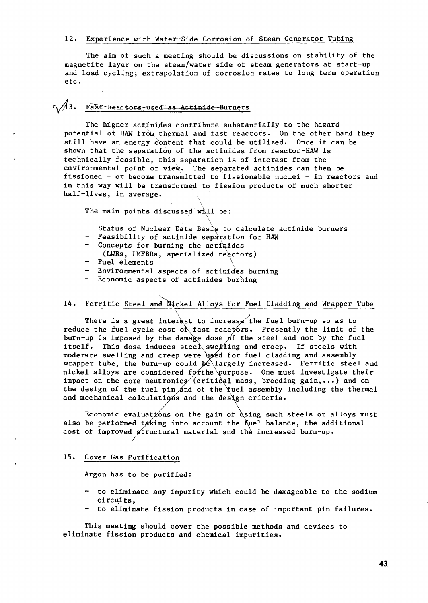## 12. Experience with Water-Side Corrosion of Steam Generator Tubing

The aim of such a meeting should be discussions on stability of the magnetite layer on the steam/water side of steam generators at start-up and load cycling; extrapolation of corrosion rates to long term operation etc.

# $\sqrt{43}$ . Fast Reactors-used as Actinide Burners

The higher actinides contribute substantially to the hazard potential of HAW from thermal and fast reactors. On the other hand they still have an energy content that could be utilized. Once it can be shown that the separation of the actinides from reactor-HAW is technically feasible, this separation is of interest from the environmental point of view. The separated actinides can then be fissioned - or become transmitted to fissionable nuclei - in reactors and in this way will be transformed to fission products of much shorter half-lives, in average.

The main points discussed will be:

- Status of Nuclear Data Basis to calculate actinide burners
- Feasibility of actinide separation for HAW
- Concepts for burning the actibides (LWRs, LMFBRs, specialized reactors)
- Fuel elements \
- Environmental aspects of actinides burning
- Economic aspects of actinides burning

## 14. Ferritic Steel and Nickel Alloys for Fuel Cladding and Wrapper Tube

There is a great interest to increase the fuel burn-up so as to reduce the fuel cycle cost of fast reactors. Presently the limit of the burn-up is imposed by the damage dose  $p$ f the steel and not by the fuel itself. This dose induces steel\swe ${\mathcal{M}}$ ing and creep. If steels with moderate swelling and creep were *ds*éd for fuel cladding and assembly wrapper tube, the burn-up could be largely increased. Ferritic steel and nickel alloys are considered for the purpose. One must investigate their impact on the core neutronics (critical mass, breeding gain,...) and on the design of the fuel pin and of the fuel assembly including the thermal and mechanical calculations and the design criteria.

Economic evaluations on the gain of using such steels or alloys must also be performed taking into account the fuel balance, the additional cost of improved structural material and the increased burn-up.

#### 15. Cover Gas Purification

Argon has to be purified:

- to eliminate any impurity which could be damageable to the sodium circuits,
- to eliminate fission products in case of important pin failures.

This meeting should cover the possible methods and devices to eliminate fission products and chemical impurities.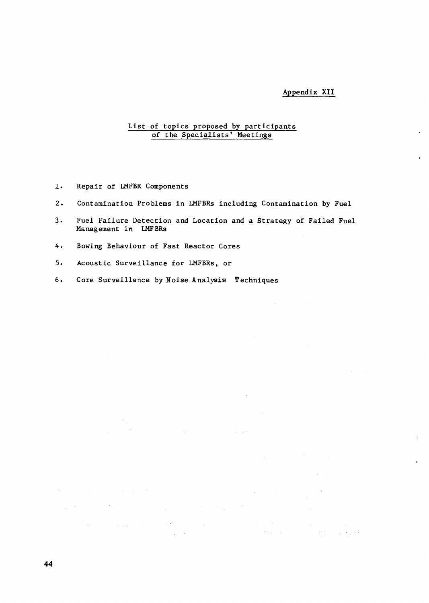## Appendix XII

 $\sim 10^7$ 

 $\sim$ 

 $\mathcal{L}(\mathbf{q})$  and  $\mathcal{L}(\mathbf{q})$  . The set of  $\mathcal{L}(\mathbf{q})$ 

 $\label{eq:2.1} \begin{split} \mathcal{L}_{\text{max}}(\mathbf{x}) & = \mathcal{L}_{\text{max}}(\mathbf{x}) \mathcal{L}_{\text{max}}(\mathbf{x}) \\ & = \mathcal{L}_{\text{max}}(\mathbf{x}) \mathcal{L}_{\text{max}}(\mathbf{x}) \mathcal{L}_{\text{max}}(\mathbf{x}) \mathcal{L}_{\text{max}}(\mathbf{x}) \end{split}$ 

in<br>1940 - George Ba

## List of topics proposed by participants of the Specialists' Meetings

- 1. Repair of LMFBR Components
- 2. Contamination Problems in LMFBRs including Contamination by Fuel
- 3. Fuel Failure Detection and Location and a Strategy of Failed Fuel Management in LMFBRs
- 4. Bowing Behaviour of Fast Reactor Cores
- 5. Acoustic Surveillance for LMFBRs, or

 $\mathcal{L}^{\mathcal{L}}(E)$  and  $\mathcal{L}^{\mathcal{L}}(E)$  is a simple point of the following  $E$  . The contribution of  $E$ 

 $\mathcal{L}_{\rm{max}}$  .

6. Core Surveillance by Noise Analysis Techniques

 $\label{eq:2.1} \begin{split} \mathcal{L}_{\text{max}}(\mathbf{x},\mathbf{y}) = \mathcal{L}_{\text{max}}(\mathbf{x},\mathbf{y}) \,,\\ \mathcal{L}_{\text{max}}(\mathbf{x},\mathbf{y}) = \mathcal{L}_{\text{max}}(\mathbf{x},\mathbf{y}) \,, \end{split}$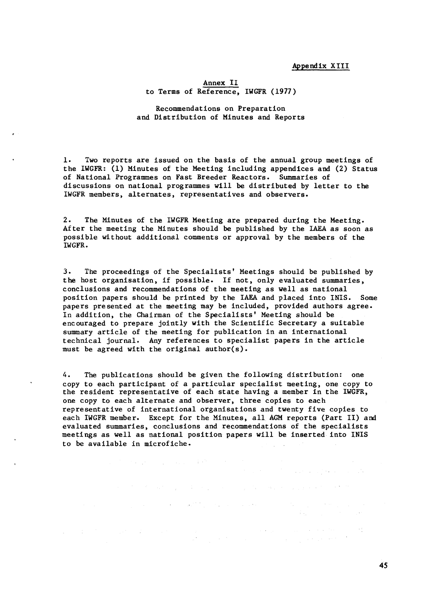## Appendix XIII

 $\mathcal{L}^{\mathcal{L}}$  , where  $\mathcal{L}^{\mathcal{L}}$  and  $\mathcal{L}^{\mathcal{L}}$  are the set of the  $\mathcal{L}^{\mathcal{L}}$ 

 $\label{eq:1} \frac{1}{\sqrt{2\pi}}\left(\frac{1}{2\pi}\left(\frac{1}{2\pi}\right)^2\right)^{1/2}\left(\frac{1}{2\pi}\left(\frac{1}{2\pi}\right)^2\right)^{1/2}$ 

 $\alpha$  ,  $\alpha$  ,  $\beta$  ,  $\beta$  ,  $\beta$  ,  $\beta$  ,  $\alpha$  ,  $\beta$  ,  $\alpha$  ,  $\beta$  ,  $\alpha$  ,  $\beta$  ,  $\alpha$ 

#### Annex II to Terms of Reference, IWGFR (1977)

Recommendations on Preparation and Distribution of Minutes and Reports

1. Two reports are issued on the basis of the annual group meetings of the IWGFR: (1) Minutes of the Meeting including appendices and (2) Status of National Programmes on Fast Breeder Reactors. Summaries of discussions on national programmes will be distributed by letter to the IWGFR members, alternates, representatives and observers.

2. The Minutes of the IWGFR Meeting are prepared during the Meeting. After the meeting the Minutes should be published by the IAEA as soon as possible without additional comments or approval by the members of the IWGFR.

3. The proceedings of the Specialists' Meetings should be published by the host organisation, if possible. If not, only evaluated summaries, conclusions and recommendations of the meeting as well as national position papers should be printed by the IAEA and placed into INIS. Some papers presented at the meeting may be included, provided authors agree. In addition, the Chairman of the Specialists' Meeting should be encouraged to prepare jointly with the Scientific Secretary a suitable summary article of the meeting for publication in an international technical journal. Any references to specialist papers in the article must be agreed with the original author(s).

4. The publications should be given the following distribution: one copy to each participant of a particular specialist meeting, one copy to the resident representative of each state having a member in the IWGFR, one copy to each alternate and observer, three copies to each representative of international organisations and twenty five copies to each IWGFR member. Except for the Minutes, all AGM reports (Part II) and evaluated summaries, conclusions and recommendations of the specialists meetings as well as national position papers will be inserted into INIS to be available in microfiche.

 $\label{eq:2.1} \mathcal{L}_{\mathcal{A}} = \mathcal{L}_{\mathcal{A}} \left( \mathcal{L}_{\mathcal{A}} \right) = \mathcal{L}_{\mathcal{A}} \left( \mathcal{L}_{\mathcal{A}} \right)$ 

 $\mathcal{L}_{\text{max}}$  , where  $\mathcal{L}_{\text{max}}$ 

 $\label{eq:2.1} \mathcal{E}(\mathbf{x}^{\top},\mathbf{y}^{\top}) = \mathcal{E}(\mathbf{x}^{\top},\mathbf{y}^{\top}) = \mathcal{E}(\mathbf{x}^{\top},\mathbf{y}^{\top}) = \mathcal{E}(\mathbf{x}^{\top},\mathbf{y}^{\top}) = \mathcal{E}(\mathbf{x}^{\top},\mathbf{y}^{\top})$ 

 $\sim 10^6$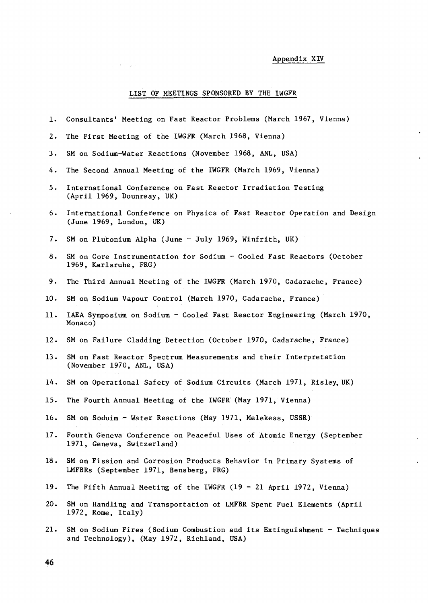# Appendix XIV

 $\ddot{\phantom{1}}$ 

 $\mathbf{v}$ 

 $\hat{\mathcal{L}}$ 

 $\hat{\mathbf{v}}$ 

## LIST OF MEETINGS SPONSORED BY THE IWGFR

 $\hat{\mathcal{A}}_{\text{c}}$  ,  $\hat{\mathcal{A}}_{\text{c}}$  ,  $\hat{\mathcal{A}}_{\text{c}}$  ,  $\hat{\mathcal{A}}_{\text{c}}$ 

| 1.       | Consultants' Meeting on Fast Reactor Problems (March 1967, Vienna)                                                      |
|----------|-------------------------------------------------------------------------------------------------------------------------|
| $2\cdot$ | The First Meeting of the IWGFR (March 1968, Vienna)                                                                     |
| 3.       | SM on Sodium-Water Reactions (November 1968, ANL, USA)                                                                  |
| 4.       | The Second Annual Meeting of the IWGFR (March 1969, Vienna)                                                             |
| 5.       | International Conference on Fast Reactor Irradiation Testing<br>(April 1969, Dounreay, UK)                              |
| 6.       | International Conference on Physics of Fast Reactor Operation and Design<br>(June 1969, London, UK)                     |
| 7.       | SM on Plutonium Alpha (June - July 1969, Winfrith, UK)                                                                  |
| 8.       | SM on Core Instrumentation for Sodium - Cooled Fast Reactors (October<br>1969, Karlsruhe, FRG)                          |
| 9.       | The Third Annual Meeting of the IWGFR (March 1970, Cadarache, France)                                                   |
| 10.      | SM on Sodium Vapour Control (March 1970, Cadarache, France)                                                             |
| 11.      | IAEA Symposium on Sodium - Cooled Fast Reactor Engineering (March 1970,<br>Monaco)                                      |
| 12.      | SM on Failure Cladding Detection (October 1970, Cadarache, France)                                                      |
| 13.      | SM on Fast Reactor Spectrum Measurements and their Interpretation<br>(November 1970, ANL, USA)                          |
| 14.      | SM on Operational Safety of Sodium Circuits (March 1971, Risley, UK)                                                    |
| 15.      | The Fourth Annual Meeting of the IWGFR (May 1971, Vienna)                                                               |
| 16.      | SM on Soduim - Water Reactions (May 1971, Melekess, USSR)                                                               |
| 17.      | Fourth Geneva Conference on Peaceful Uses of Atomic Energy (September<br>1971, Geneva, Switzerland)                     |
| 18.      | SM on Fission and Corrosion Products Behavior in Primary Systems of<br>LMFBRs (September 1971, Bensberg, FRG)           |
| 19.      | The Fifth Annual Meeting of the IWGFR $(19 - 21$ April 1972, Vienna)                                                    |
| 20.      | SM on Handling and Transportation of LMFBR Spent Fuel Elements (April<br>1972, Rome, Italy)                             |
| 21.      | SM on Sodium Fires (Sodium Combustion and its Extinguishment - Techniques<br>and Technology), (May 1972, Richland, USA) |

 $\ddot{\phantom{a}}$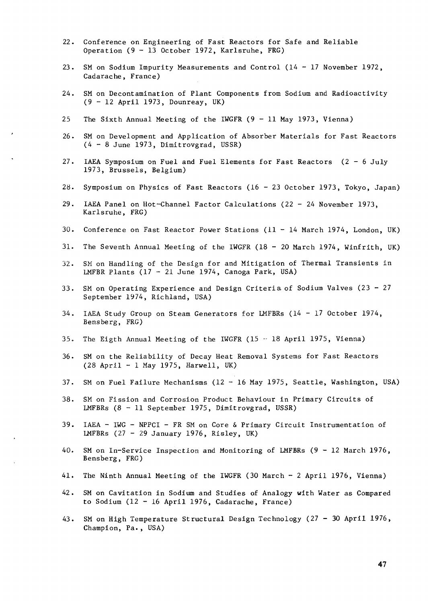- 22. Conference on Engineering of Fast Reactors for Safe and Reliable Operation (9 - 13 October 1972, Karlsruhe, FRG)
- 23. SM on Sodium Impurity Measurements and Control (14 17 November 1972, Cadarache, France)
- 24. SM on Decontamination of Plant Components from Sodium and Radioactivity  $(9 - 12$  April 1973, Dounreay, UK)
- 25 The Sixth Annual Meeting of the IWGFR  $(9 11$  May 1973, Vienna)
- 26. SM on Development and Application of Absorber Materials for Fast Reactors (4- 8 June 1973, Dimitrovgrad, USSR)
- 27. IAEA Symposium on Fuel and Fuel Elements for Fast Reactors (2- 6 July 1973, Brussels, Belgium)
- 28. Symposium on Physics of Fast Reactors (16 23 October 1973, Tokyo, Japan)
- 29. IAEA Panel on Hot-Channel Factor Calculations (22-2 4 November 1973, Karlsruhe, FRG)
- 30. Conference on Fast Reactor Power Stations (11 14 March 1974, London, UK)
- 31. The Seventh Annual Meeting of the IWGFR (18 20 March 1974, Winfrith, UK)
- 32. SM on Handling of the Design for and Mitigation of Thermal Transients in LMFBR Plants  $(17 - 21)$  June 1974, Canoga Park, USA)
- 33. SM on Operating Experience and Design Criteria of Sodium Valves (23 27 September 1974, Richland, USA)
- 34. IAEA Study Group on Steam Generators for LMFBRs (14 17 October 1974, Bensberg, FRG)
- 35. The Eigth Annual Meeting of the IWGFR  $(15 18$  April 1975, Vienna)
- 36. SM on the Reliability of Decay Heat Removal Systems for Fast Reactors (28 April - 1 May 1975, Harwell, UK)
- 37. SM on Fuel Failure Mechanisms (12 16 May 1975, Seattle, Washington, USA)
- 38. SM on Fission and Corrosion Product Behaviour in Primary Circuits of LMFBRs (8 - 11 September 1975, Dimitrovgrad, USSR)
- 39. IAEA IWG NPPCI FR SM on Core & Primary Circuit Instrumentation of LMFBRs  $(27 - 29$  January 1976, Risley, UK)
- 40. SM on In-Service Inspection and Monitoring of LMFBRs (9 12 March 1976, Bensberg, FRG)
- 41. The Ninth Annual Meeting of the IWGFR (30 March 2 April 1976, Vienna)
- 42. SM on Cavitation in Sodium and Studies of Analogy with Water as Compared to Sodium  $(12 - 16$  April 1976, Cadarache, France)
- 43. SM on High Temperature Structural Design Technology (27 30 April 1976, Champion, Pa., USA)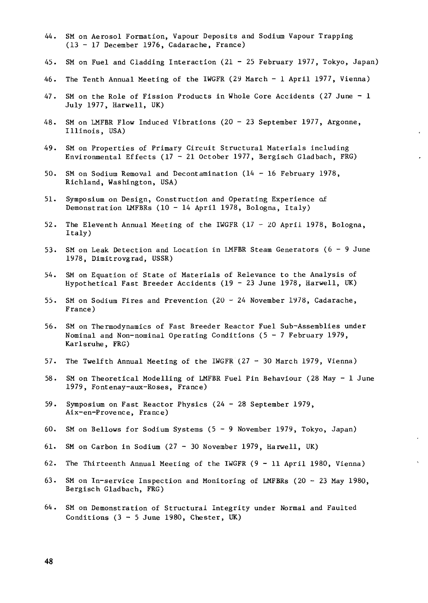- 44. SM on Aerosol Formation, Vapour Deposits and Sodium Vapour Trapping (13 - 17 December 1976, Cadarache, France)
- 45. SM on Fuel and Cladding Interaction (21 25 February 1977, Tokyo, Japan)
- 46. The Tenth Annual Meeting of the IWGFR (29 March 1 April 1977, Vienna)
- 47. SM on the Role of Fission Products in Whole Core Accidents (27 June 1 July 1977, Harwell, UK)
- 48. SM on LMFBR Flow Induced Vibrations (20 23 September 1977, Argonne, Illinois, USA)
- 49. SM on Properties of Primary Circuit Structural Materials including Environmental Effects (17 - 21 October 1977, Bergisch Gladbach, FRG)
- 50. SM on Sodium Removal and Decontamination (14 16 February 1978, Richland, Washington, USA)
- 51. Symposium on Design, Construction and Operating Experience of Demonstration LMFBRs (10 - 14 April 1978, Bologna, Italy)
- 52. The Eleventh Annual Meeting of the IWGFR  $(17 20$  April 1978, Bologna, Italy)
- 53. SM on Leak Detection and Location in LMFBR Steam Generators (6- 9 June 1978, Dimitrovgrad, USSR)
- 54. SM on Equation of State of Materials of Relevance to the Analysis of Hypothetical Fast Breeder Accidents (19 - 23 June 1978, Harwell, UK)
- 55. SM on Sodium Fires and Prevention (20 24 November 1978, Cadarache, France)
- 56. SM on Thermodynamics of Fast Breeder Reactor Fuel Sub-Assemblies under Nominal and Non-nominal Operating Conditions  $(5 - 7$  February 1979, Karlsruhe, FRG)
- 57. The Twelfth Annual Meeting of the IWGFR (27 30 March 1979, Vienna)
- 58. SM on Theoretical Modelling of LMFBR Fuel Pin Behaviour (28 May 1 June 1979, Fontenay-aux-Roses, France)
- 59. Symposium on Fast Reactor Physics (24 28 September 1979, Aix-en-Provence, France)
- 60. SM on Bellows for Sodium Systems (5- 9 November 1979, Tokyo, Japan)
- 61. SM on Carbon in Sodium (27 30 November 1979, Harwell, UK)
- 62. The Thirteenth Annual Meeting of the IWGFR (9 11 April 1980, Vienna)
- 63. SM on In-service Inspection and Monitoring of LMFBRs (20 23 May 1980, Bergisch Gladbach, FRG)
- 64. SM on Demonstration of Structural Integrity under Normal and Faulted Conditions  $(3 - 5$  June 1980, Chester, UK)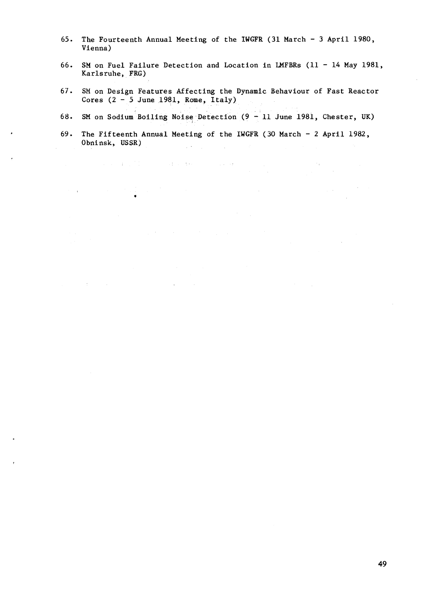- 65. The Fourteenth Annual Meeting of the IWGFR (31 March 3 April 1980, Vienna)
- 66. SM on Fuel Failure Detection and Location in LMFBRs (11 14 May 1981, Karlsruhe, FRG)
- 67. SM on Design Features Affecting the Dynamic Behaviour of Fast Reactor Cores  $(2 - 5$  June 1981, Rome, Italy)
- 68. SM on Sodium Boiling Noise Detection (9 11 June 1981, Chester, UK)
- 69. The Fifteenth Annual Meeting of the IWGFR (30 March 2 April 1982, Obninsk, USSR) gia.

 $\label{eq:2.1} \mathcal{L}(\mathcal{L}(\mathcal{L}(\mathcal{L}(\mathcal{L}(\mathcal{L}(\mathcal{L}(\mathcal{L}(\mathcal{L}(\mathcal{L}(\mathcal{L}(\mathcal{L}(\mathcal{L}(\mathcal{L}(\mathcal{L}(\mathcal{L}(\mathcal{L}(\mathcal{L}(\mathcal{L}(\mathcal{L}(\mathcal{L}(\mathcal{L}(\mathcal{L}(\mathcal{L}(\mathcal{L}(\mathcal{L}(\mathcal{L}(\mathcal{L}(\mathcal{L}(\mathcal{L}(\mathcal{L}(\mathcal{L}(\mathcal{L}(\mathcal{L}(\mathcal{L}(\$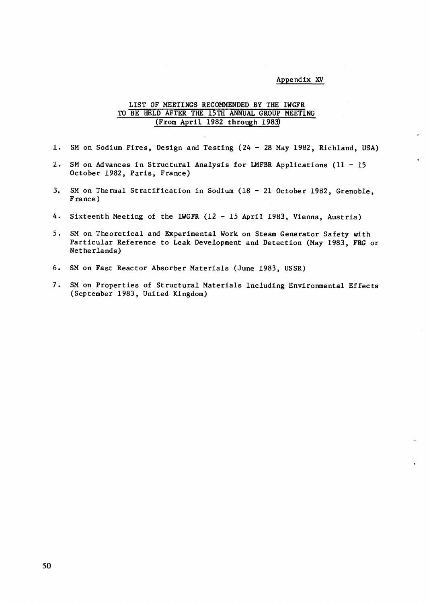#### Appendix XV

## LIST OF MEETINGS RECOMMENDED BY THE IWGFR TO BE HELD AFTER THE 15TH ANNUAL GROUP MEETING (From April 1982 through 1983)

- 1. SM on Sodium Fires, Design and Testing (24 28 May 1982, Richland, USA)
- 2. SM on Advances in Structural Analysis for LMFBR Applications (11 15 October 1982, Paris, France)
- 3. SM on Thermal Stratification in Sodium (18 21 October 1982, Grenoble, France)
- 4. Sixteenth Meeting of the IWGFR (12 15 April 1983, Vienna, Austria)
- 5. SM on Theoretical and Experimental Work on Steam Generator Safety with Particular Reference to Leak. Development and Detection (May 1983, FRG or Netherlands)
- 6. SM on Fast Reactor Absorber Materials (June 1983, USSR)
- 7. SM on Properties of Structural Materials Including Environmental Effects (September 1983, United Kingdom)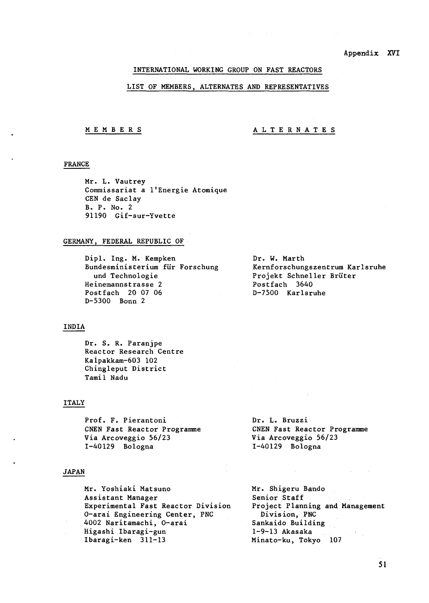## INTERNATIONAL WORKING GROUP ON FAST REACTORS

#### LIST OF MEMBERS, ALTERNATES AND REPRESENTATIVES

## MEMBER S ALTERNATES

## FRANCE

Mr. L. Vautrey Commissariat a l'Energie Atomique CEN de Saclay B. P. No. 2 91190 Gif-sur-Yvette

#### GERMANY, FEDERAL REPUBLIC OF

Dipl. Ing. M. Kempken Bundesministerium fiir Forschung und Technologie Heinemannstrasse 2 Postfach 20 07 06 D-5300 Bonn 2

#### INDIA

Dr. S. R. Paranjpe Reactor Research Centre Kaipakkam-603 102 Chingleput District Tamil Nadu

## ITALY

Prof. F. Pierantoni CNEN Fast Reactor Programme Via Arcoveggio 56/23 1-40129 Bologna

#### JAPAN

Mr. Yoshiaki Matsuno Assistant Manager Experimental Fast Reactor Division 0-arai Engineering Center, PNC 4002 Naritamachi, 0-arai Higashi Ibaragi-gun Ibaragi-ken 311-13

Dr. W. Marth Kernforschungszentrum Karlsruhe Projekt Schneller Briiter Postfach 3640 D-7500 Karlsruhe

Dr. L. Bruzzi CNEN Fast Reactor Programme Via Arcoveggio 56/23 1-40129 Bologna

Mr. Shigeru Bando Senior Staff Project Planning and Management Division, PNC Sankaido Building 1-9-13 Akasaka Minato-ku, Tokyo 107